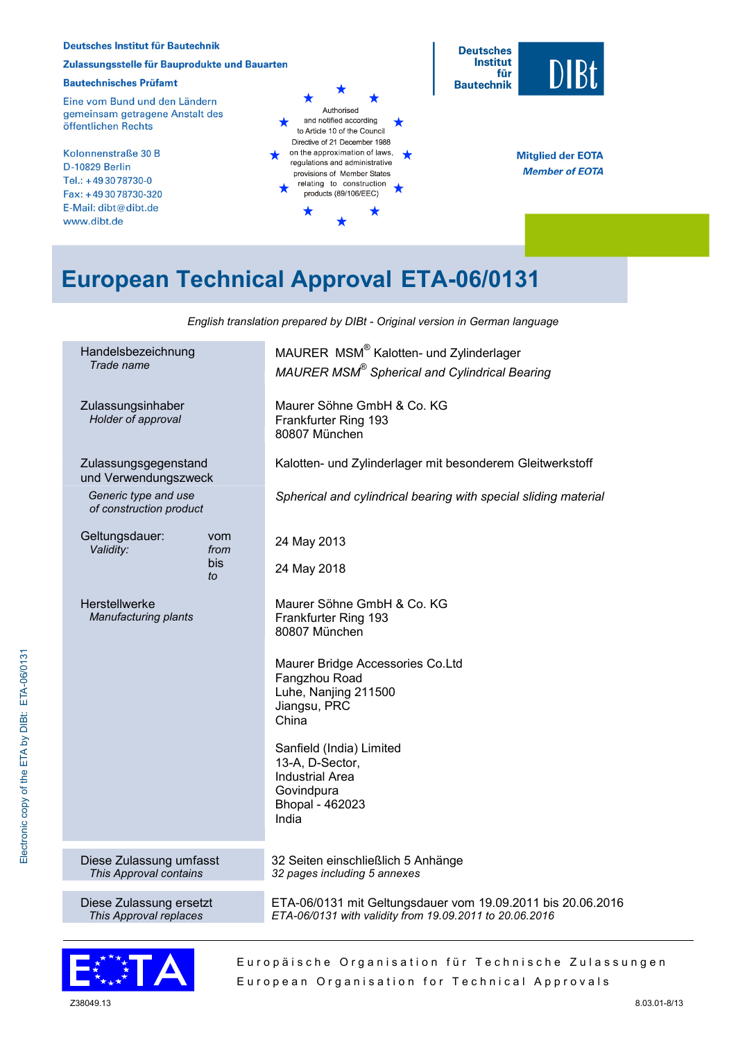

*English translation prepared by DIBt - Original version in German language* 

# **European Technical Approval ETA-06/0131**

| Handelsbezeichnung<br>Trade name                  |             | MAURER MSM <sup>®</sup> Kalotten- und Zylinderlager<br>MAURER MSM <sup>®</sup> Spherical and Cylindrical Bearing       |
|---------------------------------------------------|-------------|------------------------------------------------------------------------------------------------------------------------|
| Zulassungsinhaber<br>Holder of approval           |             | Maurer Söhne GmbH & Co. KG<br>Frankfurter Ring 193<br>80807 München                                                    |
| Zulassungsgegenstand<br>und Verwendungszweck      |             | Kalotten- und Zylinderlager mit besonderem Gleitwerkstoff                                                              |
| Generic type and use<br>of construction product   |             | Spherical and cylindrical bearing with special sliding material                                                        |
| Geltungsdauer:<br>Validity:                       | vom<br>from | 24 May 2013                                                                                                            |
|                                                   | bis<br>to   | 24 May 2018                                                                                                            |
| <b>Herstellwerke</b><br>Manufacturing plants      |             | Maurer Söhne GmbH & Co. KG<br>Frankfurter Ring 193<br>80807 München                                                    |
|                                                   |             | Maurer Bridge Accessories Co.Ltd<br>Fangzhou Road<br>Luhe, Nanjing 211500<br>Jiangsu, PRC<br>China                     |
|                                                   |             | Sanfield (India) Limited<br>13-A, D-Sector,<br><b>Industrial Area</b><br>Govindpura<br>Bhopal - 462023<br>India        |
| Diese Zulassung umfasst<br>This Approval contains |             | 32 Seiten einschließlich 5 Anhänge<br>32 pages including 5 annexes                                                     |
| Diese Zulassung ersetzt<br>This Approval replaces |             | ETA-06/0131 mit Geltungsdauer vom 19.09.2011 bis 20.06.2016<br>ETA-06/0131 with validity from 19.09.2011 to 20.06.2016 |
|                                                   |             |                                                                                                                        |



Europäische Organisation für Technische Zulassungen European Organisation for Technical Approvals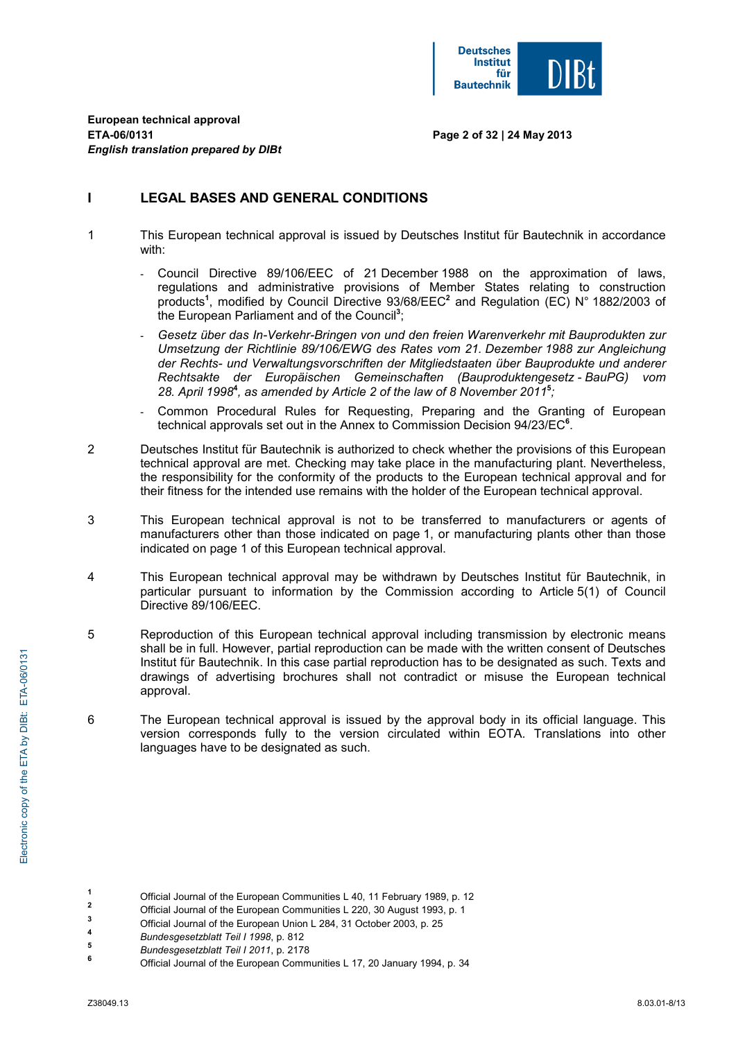

**Page 2 of 32 | 24 May 2013** 

### **I LEGAL BASES AND GENERAL CONDITIONS**

- 1 This European technical approval is issued by Deutsches Institut für Bautechnik in accordance with:
	- Council Directive 89/106/EEC of 21 December 1988 on the approximation of laws, regulations and administrative provisions of Member States relating to construction products**<sup>1</sup>** , modified by Council Directive 93/68/EEC**<sup>2</sup>** and Regulation (EC) N° 1882/2003 of the European Parliament and of the Council**<sup>3</sup>** ;
	- *Gesetz über das In-Verkehr-Bringen von und den freien Warenverkehr mit Bauprodukten zur Umsetzung der Richtlinie 89/106/EWG des Rates vom 21. Dezember 1988 zur Angleichung der Rechts- und Verwaltungsvorschriften der Mitgliedstaaten über Bauprodukte und anderer Rechtsakte der Europäischen Gemeinschaften (Bauproduktengesetz - BauPG) vom 28. April 1998***<sup>4</sup>** *, as amended by Article 2 of the law of 8 November 2011***<sup>5</sup>** *;*
	- Common Procedural Rules for Requesting, Preparing and the Granting of European technical approvals set out in the Annex to Commission Decision 94/23/EC**<sup>6</sup>** .
- 2 Deutsches Institut für Bautechnik is authorized to check whether the provisions of this European technical approval are met. Checking may take place in the manufacturing plant. Nevertheless, the responsibility for the conformity of the products to the European technical approval and for their fitness for the intended use remains with the holder of the European technical approval.
- 3 This European technical approval is not to be transferred to manufacturers or agents of manufacturers other than those indicated on page 1, or manufacturing plants other than those indicated on page 1 of this European technical approval.
- 4 This European technical approval may be withdrawn by Deutsches Institut für Bautechnik, in particular pursuant to information by the Commission according to Article 5(1) of Council Directive 89/106/EEC.
- 5 Reproduction of this European technical approval including transmission by electronic means shall be in full. However, partial reproduction can be made with the written consent of Deutsches Institut für Bautechnik. In this case partial reproduction has to be designated as such. Texts and drawings of advertising brochures shall not contradict or misuse the European technical approval.
- 6 The European technical approval is issued by the approval body in its official language. This version corresponds fully to the version circulated within EOTA. Translations into other languages have to be designated as such.

**<sup>1</sup>** Official Journal of the European Communities L 40, 11 February 1989, p. 12 **2**

Official Journal of the European Communities L 220, 30 August 1993, p. 1

**<sup>3</sup>**  $\frac{3}{4}$  Official Journal of the European Union L 284, 31 October 2003, p. 25

**<sup>4</sup>** *Bundesgesetzblatt Teil I 1998*, p. 812 **<sup>5</sup>**

*Bundesgesetzblatt Teil I 2011*, p. 2178 **<sup>6</sup>**

Official Journal of the European Communities L 17, 20 January 1994, p. 34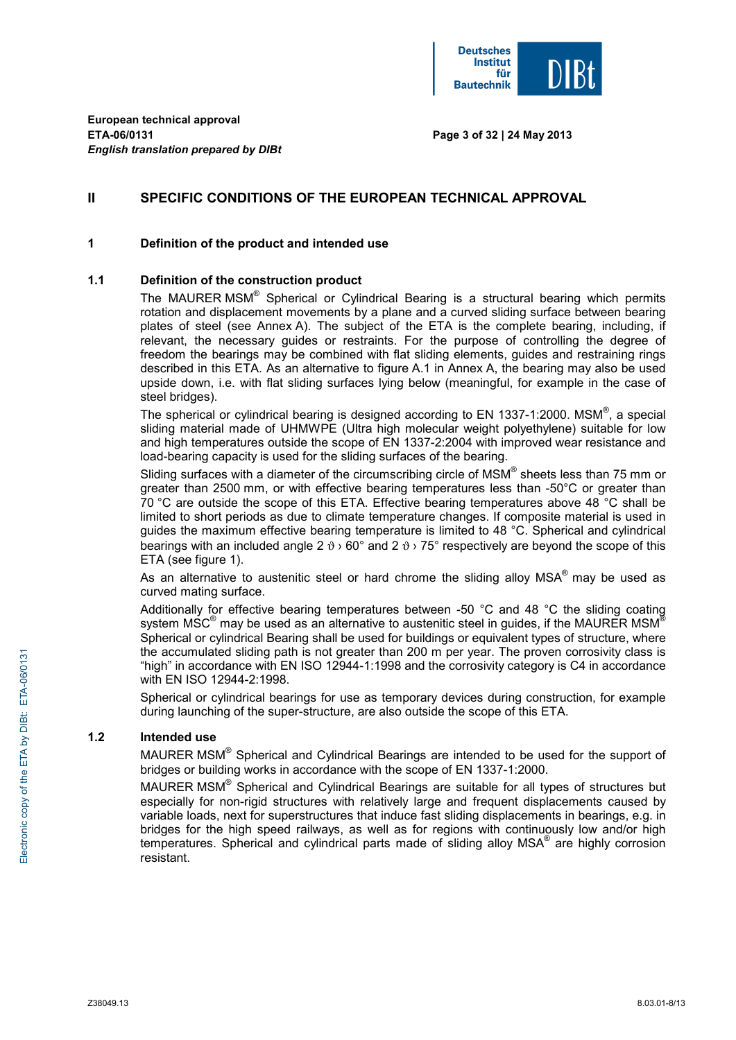

**Page 3 of 32 | 24 May 2013** 

### **II SPECIFIC CONDITIONS OF THE EUROPEAN TECHNICAL APPROVAL**

#### **1 Definition of the product and intended use**

#### **1.1 Definition of the construction product**

The MAURER MSM $<sup>®</sup>$  Spherical or Cylindrical Bearing is a structural bearing which permits</sup> rotation and displacement movements by a plane and a curved sliding surface between bearing plates of steel (see Annex A). The subject of the ETA is the complete bearing, including, if relevant, the necessary guides or restraints. For the purpose of controlling the degree of freedom the bearings may be combined with flat sliding elements, guides and restraining rings described in this ETA. As an alternative to figure A.1 in Annex A, the bearing may also be used upside down, i.e. with flat sliding surfaces lying below (meaningful, for example in the case of steel bridges).

The spherical or cylindrical bearing is designed according to EN 1337-1:2000. MSM®, a special sliding material made of UHMWPE (Ultra high molecular weight polyethylene) suitable for low and high temperatures outside the scope of EN 1337-2:2004 with improved wear resistance and load-bearing capacity is used for the sliding surfaces of the bearing.

Sliding surfaces with a diameter of the circumscribing circle of MSM $^{\circ}$  sheets less than 75 mm or greater than 2500 mm, or with effective bearing temperatures less than -50°C or greater than 70 °C are outside the scope of this ETA. Effective bearing temperatures above 48 °C shall be limited to short periods as due to climate temperature changes. If composite material is used in guides the maximum effective bearing temperature is limited to 48 °C. Spherical and cylindrical bearings with an included angle 2  $\vartheta$   $\cdot$  60° and 2  $\vartheta$   $\cdot$  75° respectively are beyond the scope of this ETA (see figure 1).

As an alternative to austenitic steel or hard chrome the sliding alloy  $MSA^{\circ}$  may be used as curved mating surface.

Additionally for effective bearing temperatures between -50 °C and 48 °C the sliding coating system MSC® may be used as an alternative to austenitic steel in guides, if the MAURER MSM® Spherical or cylindrical Bearing shall be used for buildings or equivalent types of structure, where the accumulated sliding path is not greater than 200 m per year. The proven corrosivity class is "high" in accordance with EN ISO 12944-1:1998 and the corrosivity category is C4 in accordance with EN ISO 12944-2:1998.

Spherical or cylindrical bearings for use as temporary devices during construction, for example during launching of the super-structure, are also outside the scope of this ETA.

### **1.2 Intended use**

MAURER MSM $^{\circ}$  Spherical and Cylindrical Bearings are intended to be used for the support of bridges or building works in accordance with the scope of EN 1337-1:2000.

MAURER MSM<sup>®</sup> Spherical and Cylindrical Bearings are suitable for all types of structures but especially for non-rigid structures with relatively large and frequent displacements caused by variable loads, next for superstructures that induce fast sliding displacements in bearings, e.g. in bridges for the high speed railways, as well as for regions with continuously low and/or high temperatures. Spherical and cylindrical parts made of sliding alloy MSA® are highly corrosion resistant.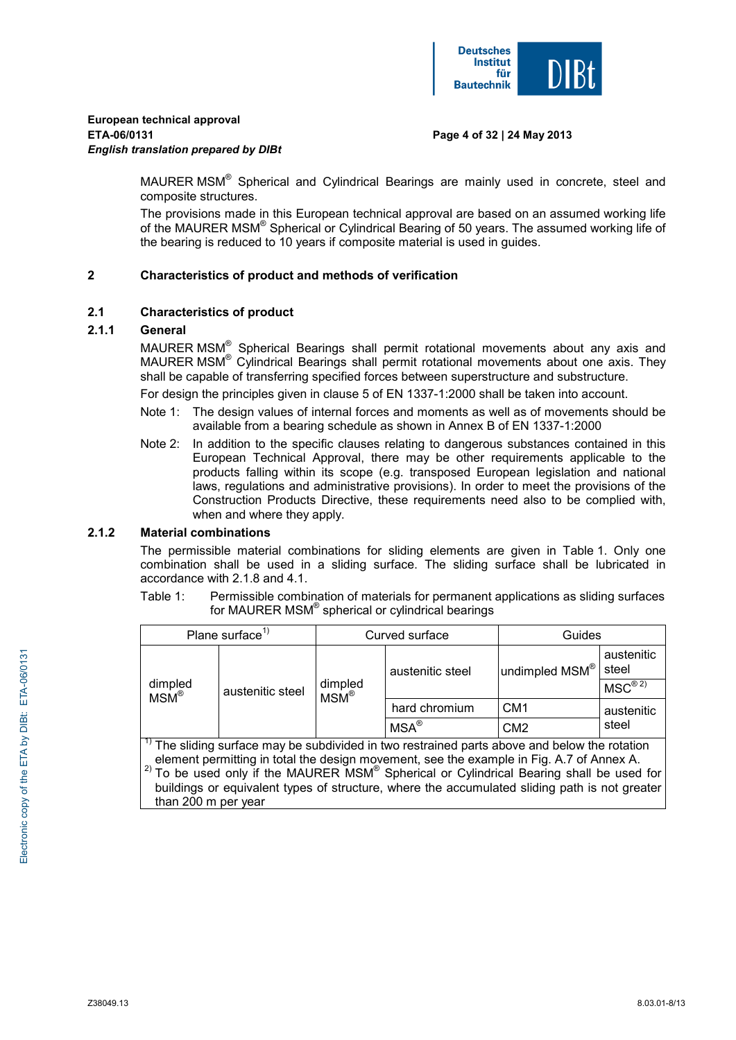

#### **Page 4 of 32 | 24 May 2013**

MAURER MSM<sup>®</sup> Spherical and Cylindrical Bearings are mainly used in concrete, steel and composite structures.

The provisions made in this European technical approval are based on an assumed working life of the MAURER MSM® Spherical or Cylindrical Bearing of 50 years. The assumed working life of the bearing is reduced to 10 years if composite material is used in guides.

#### **2 Characteristics of product and methods of verification**

#### **2.1 Characteristics of product**

#### **2.1.1 General**

MAURER MSM $^{\circ}$  Spherical Bearings shall permit rotational movements about any axis and MAURER MSM<sup>®</sup> Cylindrical Bearings shall permit rotational movements about one axis. They shall be capable of transferring specified forces between superstructure and substructure.

For design the principles given in clause 5 of EN 1337-1:2000 shall be taken into account.

- Note 1: The design values of internal forces and moments as well as of movements should be available from a bearing schedule as shown in Annex B of EN 1337-1:2000
- Note 2: In addition to the specific clauses relating to dangerous substances contained in this European Technical Approval, there may be other requirements applicable to the products falling within its scope (e.g. transposed European legislation and national laws, regulations and administrative provisions). In order to meet the provisions of the Construction Products Directive, these requirements need also to be complied with, when and where they apply.

#### **2.1.2 Material combinations**

than 200 m per year

The permissible material combinations for sliding elements are given in Table 1. Only one combination shall be used in a sliding surface. The sliding surface shall be lubricated in accordance with 2.1.8 and 4.1.

| Table 1: | Permissible combination of materials for permanent applications as sliding surfaces |
|----------|-------------------------------------------------------------------------------------|
|          | for MAURER MSM <sup>®</sup> spherical or cylindrical bearings                       |

| Plane surface <sup>1)</sup>                                                                              |                              | Curved surface |                   | Guides          |                     |  |
|----------------------------------------------------------------------------------------------------------|------------------------------|----------------|-------------------|-----------------|---------------------|--|
|                                                                                                          |                              |                | austenitic steel  | lundimpled MSM® | austenitic<br>steel |  |
| dimpled<br>MSM <sup>®</sup><br>austenitic steel                                                          | dimpled<br>$MSM^{\circledR}$ |                |                   | $MSC^{® 2)}$    |                     |  |
|                                                                                                          |                              |                | hard chromium     | CM <sub>1</sub> | austenitic          |  |
|                                                                                                          |                              |                | $MSA^{\circledR}$ | CM <sub>2</sub> | steel               |  |
| $\frac{1}{1}$ The sliding surface may be subdivided in two restrained parts above and below the rotation |                              |                |                   |                 |                     |  |

element permitting in total the design movement, see the example in Fig. A.7 of Annex A.<br><sup>2)</sup> To be used only if the MAURER MSM<sup>®</sup> Spherical or Cylindrical Bearing shall be used for buildings or equivalent types of structure, where the accumulated sliding path is not greater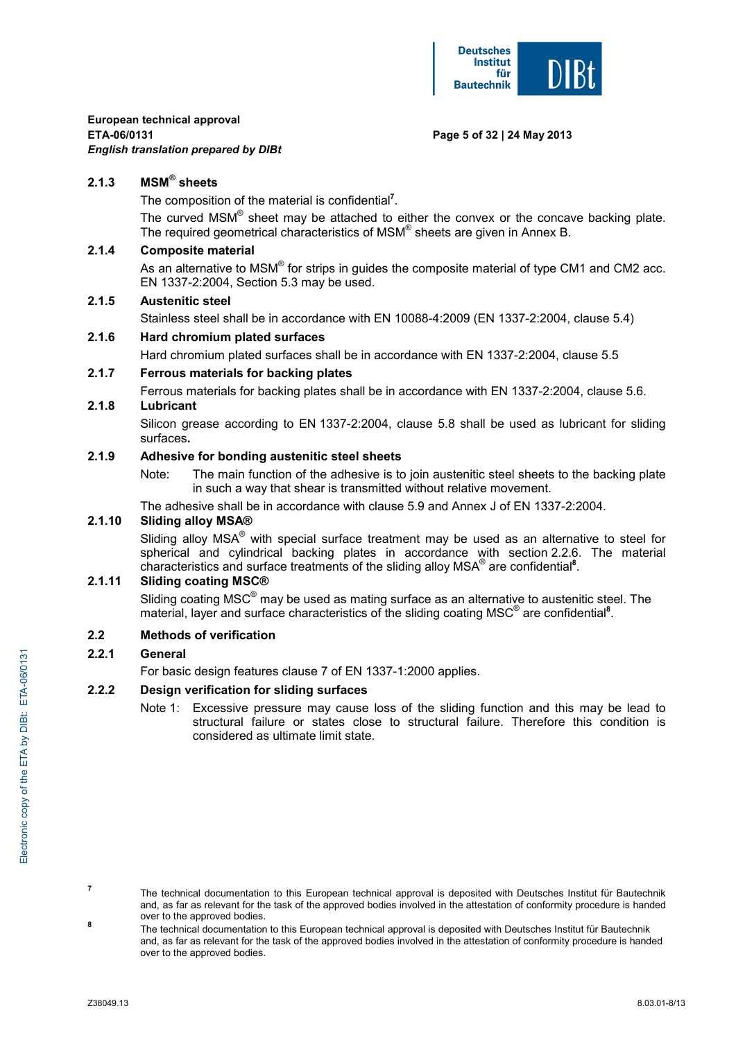

#### **Page 5 of 32 | 24 May 2013**

### **2.1.3 MSM® sheets**

The composition of the material is confidential**<sup>7</sup>** .

The curved MSM $^{\circ}$  sheet may be attached to either the convex or the concave backing plate. The required geometrical characteristics of MSM® sheets are given in Annex B.

### **2.1.4 Composite material**

As an alternative to MSM<sup>®</sup> for strips in guides the composite material of type CM1 and CM2 acc. EN 1337-2:2004, Section 5.3 may be used.

### **2.1.5 Austenitic steel**

Stainless steel shall be in accordance with EN 10088-4:2009 (EN 1337-2:2004, clause 5.4)

### **2.1.6 Hard chromium plated surfaces**

Hard chromium plated surfaces shall be in accordance with EN 1337-2:2004, clause 5.5

### **2.1.7 Ferrous materials for backing plates**

Ferrous materials for backing plates shall be in accordance with EN 1337-2:2004, clause 5.6.

### **2.1.8 Lubricant**

Silicon grease according to EN 1337-2:2004, clause 5.8 shall be used as lubricant for sliding surfaces**.** 

### **2.1.9 Adhesive for bonding austenitic steel sheets**

Note: The main function of the adhesive is to join austenitic steel sheets to the backing plate in such a way that shear is transmitted without relative movement.

The adhesive shall be in accordance with clause 5.9 and Annex J of EN 1337-2:2004.

### **2.1.10 Sliding alloy MSA®**

Sliding alloy MSA $^{\circledast}$  with special surface treatment may be used as an alternative to steel for spherical and cylindrical backing plates in accordance with section 2.2.6. The material characteristics and surface treatments of the sliding alloy MSA® are confidential**<sup>8</sup>** .

### **2.1.11 Sliding coating MSC®**

Sliding coating MSC $^{\circ}$  may be used as mating surface as an alternative to austenitic steel. The material, layer and surface characteristics of the sliding coating MSC® are confidential**<sup>8</sup>** .

### **2.2 Methods of verification**

### **2.2.1 General**

For basic design features clause 7 of EN 1337-1:2000 applies.

#### **2.2.2 Design verification for sliding surfaces**

Note 1: Excessive pressure may cause loss of the sliding function and this may be lead to structural failure or states close to structural failure. Therefore this condition is considered as ultimate limit state.

**<sup>7</sup>** The technical documentation to this European technical approval is deposited with Deutsches Institut für Bautechnik and, as far as relevant for the task of the approved bodies involved in the attestation of conformity procedure is handed over to the approved bodies. **<sup>8</sup>**

The technical documentation to this European technical approval is deposited with Deutsches Institut für Bautechnik and, as far as relevant for the task of the approved bodies involved in the attestation of conformity procedure is handed over to the approved bodies.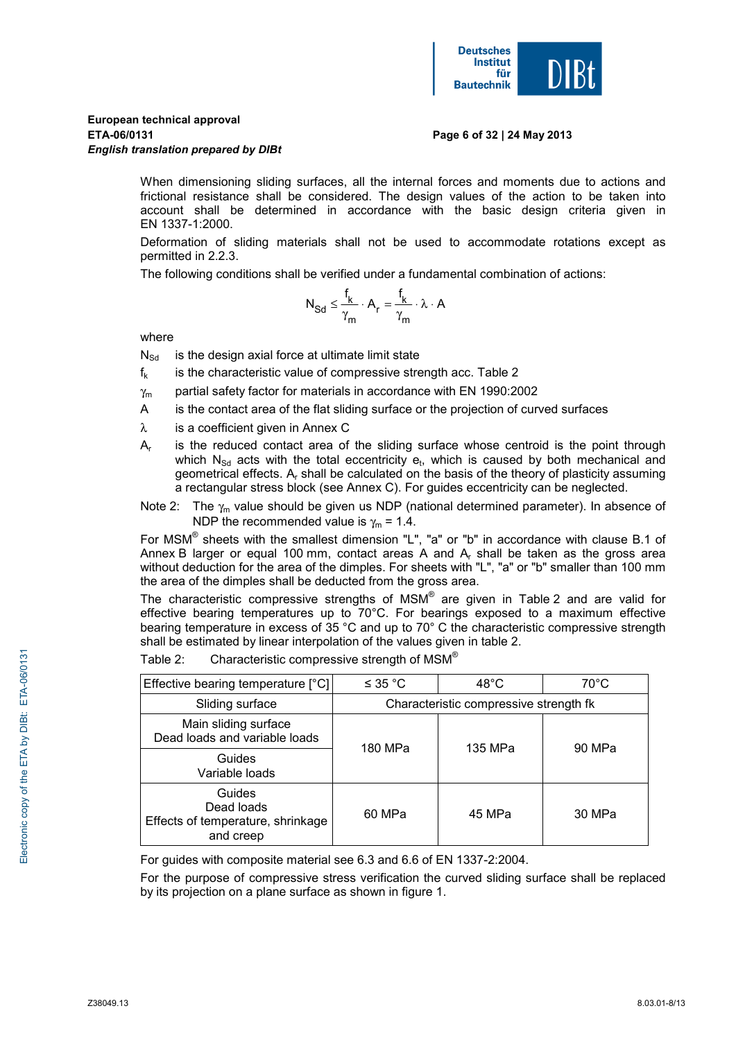

#### **Page 6 of 32 | 24 May 2013**

When dimensioning sliding surfaces, all the internal forces and moments due to actions and frictional resistance shall be considered. The design values of the action to be taken into account shall be determined in accordance with the basic design criteria given in EN 1337-1:2000.

Deformation of sliding materials shall not be used to accommodate rotations except as permitted in 2.2.3.

The following conditions shall be verified under a fundamental combination of actions:

$$
N_{Sd} \le \frac{f_k}{\gamma_m} \cdot A_r = \frac{f_k}{\gamma_m} \cdot \lambda \cdot A
$$

where

 $N_{\text{Sd}}$  is the design axial force at ultimate limit state

- $f_k$  is the characteristic value of compressive strength acc. Table 2
- $\gamma_{\rm m}$  partial safety factor for materials in accordance with EN 1990:2002
- A is the contact area of the flat sliding surface or the projection of curved surfaces
- λ is a coefficient given in Annex C
- $A<sub>r</sub>$  is the reduced contact area of the sliding surface whose centroid is the point through which  $N_{\rm Sd}$  acts with the total eccentricity  $e_t$ , which is caused by both mechanical and geometrical effects.  $A_r$  shall be calculated on the basis of the theory of plasticity assuming a rectangular stress block (see Annex C). For guides eccentricity can be neglected.
- Note 2: The  $\gamma_m$  value should be given us NDP (national determined parameter). In absence of NDP the recommended value is  $\gamma_m = 1.4$ .

For MSM<sup>®</sup> sheets with the smallest dimension "L", "a" or "b" in accordance with clause B.1 of Annex B larger or equal 100 mm, contact areas  $\overline{A}$  and  $A_r$  shall be taken as the gross area without deduction for the area of the dimples. For sheets with "L", "a" or "b" smaller than 100 mm the area of the dimples shall be deducted from the gross area.

The characteristic compressive strengths of MSM $^{\circ}$  are given in Table 2 and are valid for effective bearing temperatures up to 70°C. For bearings exposed to a maximum effective bearing temperature in excess of 35 °C and up to 70° C the characteristic compressive strength shall be estimated by linear interpolation of the values given in table 2.

Table 2: Characteristic compressive strength of MSM®

| Effective bearing temperature [°C]                                     | ≤ 35 °C | $48^{\circ}$ C                         | $70^{\circ}$ C |  |
|------------------------------------------------------------------------|---------|----------------------------------------|----------------|--|
| Sliding surface                                                        |         | Characteristic compressive strength fk |                |  |
| Main sliding surface<br>Dead loads and variable loads                  | 180 MPa | 135 MPa                                | 90 MPa         |  |
| Guides<br>Variable loads                                               |         |                                        |                |  |
| Guides<br>Dead loads<br>Effects of temperature, shrinkage<br>and creep | 60 MPa  | 45 MPa                                 | 30 MPa         |  |

For guides with composite material see 6.3 and 6.6 of EN 1337-2:2004.

For the purpose of compressive stress verification the curved sliding surface shall be replaced by its projection on a plane surface as shown in figure 1.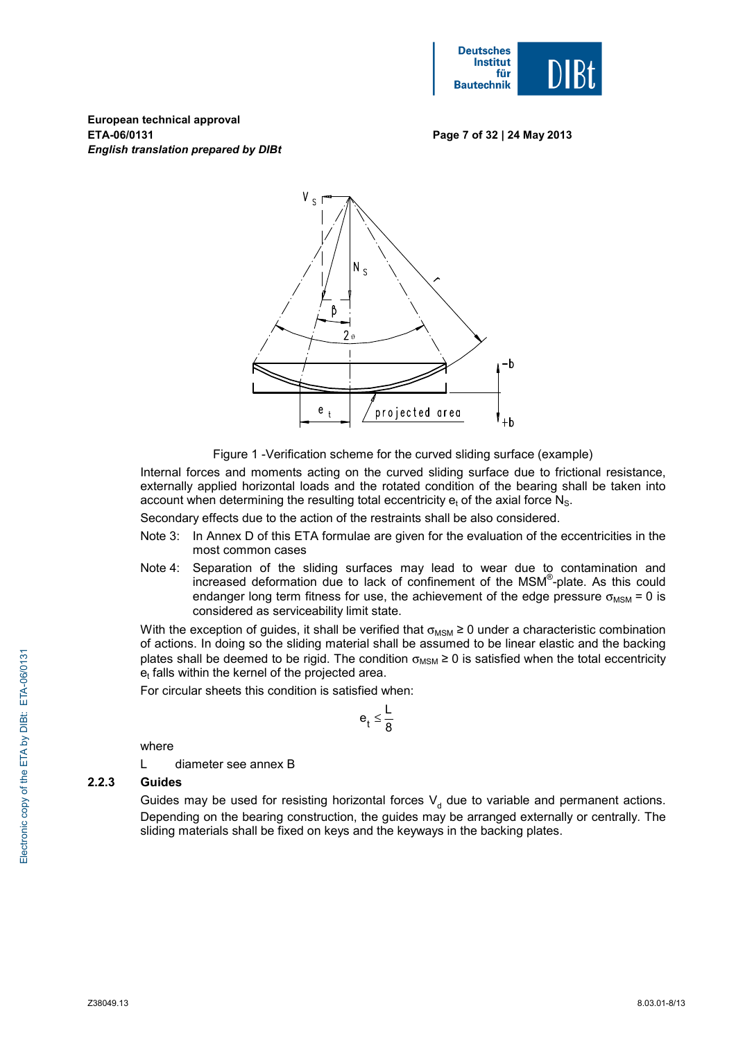

**Page 7 of 32 | 24 May 2013** 



Figure 1 -Verification scheme for the curved sliding surface (example)

Internal forces and moments acting on the curved sliding surface due to frictional resistance, externally applied horizontal loads and the rotated condition of the bearing shall be taken into account when determining the resulting total eccentricity  $e_t$  of the axial force  $N_s$ .

Secondary effects due to the action of the restraints shall be also considered.

- Note 3: In Annex D of this ETA formulae are given for the evaluation of the eccentricities in the most common cases
- Note 4: Separation of the sliding surfaces may lead to wear due to contamination and increased deformation due to lack of confinement of the MSM® -plate. As this could endanger long term fitness for use, the achievement of the edge pressure  $\sigma_{MSM} = 0$  is considered as serviceability limit state.

With the exception of guides, it shall be verified that  $\sigma_{MSM} \geq 0$  under a characteristic combination of actions. In doing so the sliding material shall be assumed to be linear elastic and the backing plates shall be deemed to be rigid. The condition  $\sigma_{MSM} \ge 0$  is satisfied when the total eccentricity  $e<sub>t</sub>$  falls within the kernel of the projected area.

For circular sheets this condition is satisfied when:

$$
e_t \leq \frac{L}{8}
$$

where

L diameter see annex B

#### **2.2.3 Guides**

Guides may be used for resisting horizontal forces  $V_d$  due to variable and permanent actions. Depending on the bearing construction, the guides may be arranged externally or centrally. The sliding materials shall be fixed on keys and the keyways in the backing plates.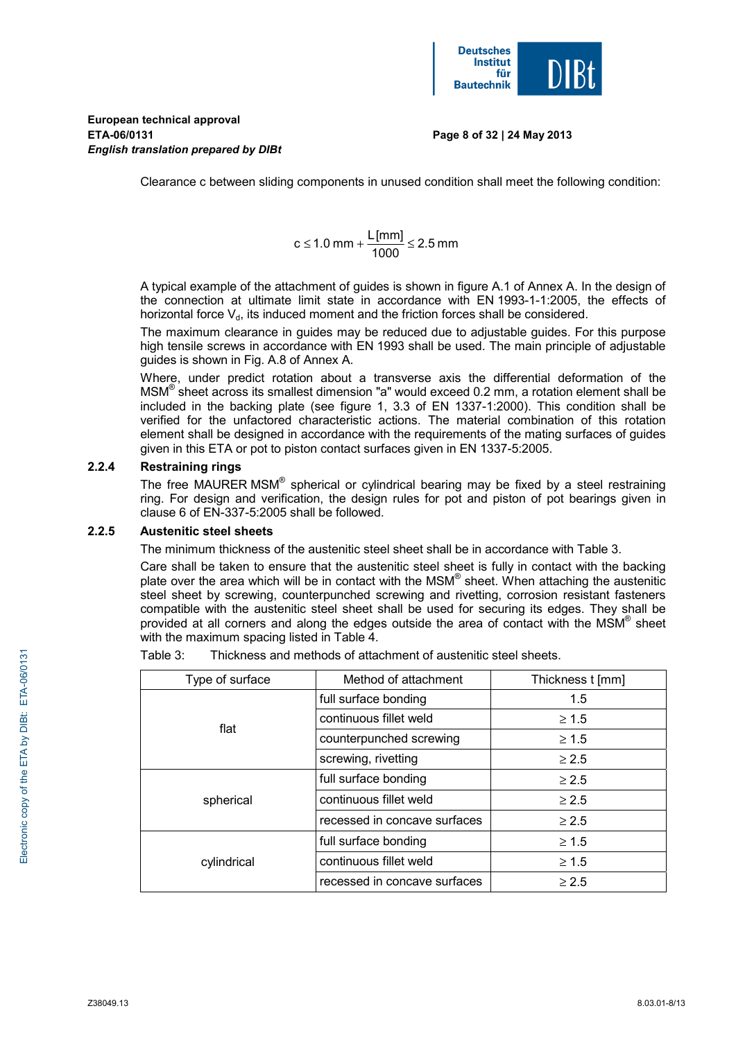

#### **Page 8 of 32 | 24 May 2013**

Clearance c between sliding components in unused condition shall meet the following condition:

$$
c \le 1.0 \text{ mm} + \frac{L \text{[mm]}}{1000} \le 2.5 \text{ mm}
$$

A typical example of the attachment of guides is shown in figure A.1 of Annex A. In the design of the connection at ultimate limit state in accordance with EN 1993-1-1:2005, the effects of horizontal force  $V_d$ , its induced moment and the friction forces shall be considered.

The maximum clearance in guides may be reduced due to adjustable guides. For this purpose high tensile screws in accordance with EN 1993 shall be used. The main principle of adjustable guides is shown in Fig. A.8 of Annex A.

Where, under predict rotation about a transverse axis the differential deformation of the MSM<sup>®</sup> sheet across its smallest dimension "a" would exceed 0.2 mm, a rotation element shall be included in the backing plate (see figure 1, 3.3 of EN 1337-1:2000). This condition shall be verified for the unfactored characteristic actions. The material combination of this rotation element shall be designed in accordance with the requirements of the mating surfaces of guides given in this ETA or pot to piston contact surfaces given in EN 1337-5:2005.

### **2.2.4 Restraining rings**

The free MAURER MSM $<sup>®</sup>$  spherical or cylindrical bearing may be fixed by a steel restraining</sup> ring. For design and verification, the design rules for pot and piston of pot bearings given in clause 6 of EN-337-5:2005 shall be followed.

#### **2.2.5 Austenitic steel sheets**

The minimum thickness of the austenitic steel sheet shall be in accordance with Table 3.

Care shall be taken to ensure that the austenitic steel sheet is fully in contact with the backing plate over the area which will be in contact with the MSM $^{\circ}$  sheet. When attaching the austenitic steel sheet by screwing, counterpunched screwing and rivetting, corrosion resistant fasteners compatible with the austenitic steel sheet shall be used for securing its edges. They shall be provided at all corners and along the edges outside the area of contact with the  $\mathsf{MSM}^\circledast$  sheet with the maximum spacing listed in Table 4.

| Type of surface | Method of attachment         | Thickness t [mm] |
|-----------------|------------------------------|------------------|
|                 | full surface bonding         | 1.5              |
| flat            | continuous fillet weld       | $\geq 1.5$       |
|                 | counterpunched screwing      | $\geq 1.5$       |
|                 | screwing, rivetting          | $\geq 2.5$       |
|                 | full surface bonding         | $\geq 2.5$       |
| spherical       | continuous fillet weld       | $\geq 2.5$       |
|                 | recessed in concave surfaces | $\geq$ 2.5       |
|                 | full surface bonding         | $\geq 1.5$       |
| cylindrical     | continuous fillet weld       | $\geq 1.5$       |
|                 | recessed in concave surfaces | $\geq 2.5$       |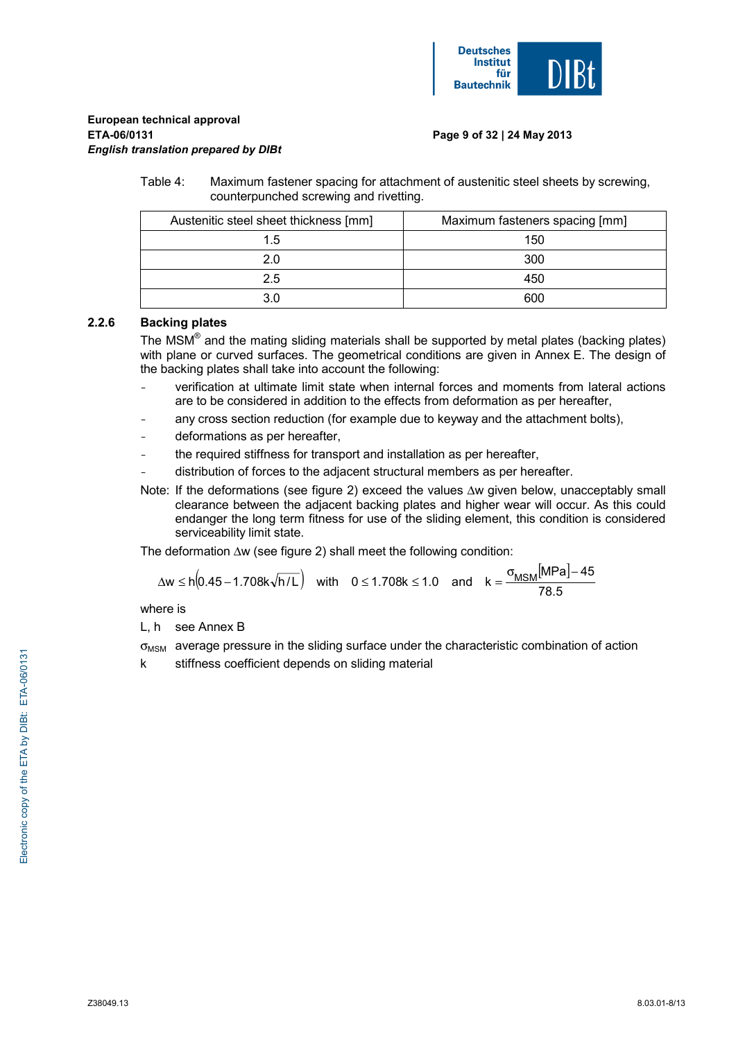

#### **Page 9 of 32 | 24 May 2013**

Table 4: Maximum fastener spacing for attachment of austenitic steel sheets by screwing, counterpunched screwing and rivetting.

| Austenitic steel sheet thickness [mm] | Maximum fasteners spacing [mm] |
|---------------------------------------|--------------------------------|
| 1.5                                   | 150                            |
| 2.0                                   | 300                            |
| 2.5                                   | 450                            |
| 3.0                                   | 600                            |

### **2.2.6 Backing plates**

The MSM $^{\circ}$  and the mating sliding materials shall be supported by metal plates (backing plates) with plane or curved surfaces. The geometrical conditions are given in Annex E. The design of the backing plates shall take into account the following:

- verification at ultimate limit state when internal forces and moments from lateral actions are to be considered in addition to the effects from deformation as per hereafter,
- any cross section reduction (for example due to keyway and the attachment bolts),
- deformations as per hereafter,
- the required stiffness for transport and installation as per hereafter,
- distribution of forces to the adjacent structural members as per hereafter.
- Note: If the deformations (see figure 2) exceed the values Δw given below, unacceptably small clearance between the adjacent backing plates and higher wear will occur. As this could endanger the long term fitness for use of the sliding element, this condition is considered serviceability limit state.

The deformation Δw (see figure 2) shall meet the following condition:

$$
\Delta w \le h\left(0.45 - 1.708k\sqrt{h/L}\right) \quad \text{with} \quad 0 \le 1.708k \le 1.0 \quad \text{and} \quad k = \frac{\sigma_{\text{MSM}}[MPa] - 45}{78.5}
$$

where is

L, h see Annex B

 $\sigma_{\text{MSM}}$  average pressure in the sliding surface under the characteristic combination of action

k stiffness coefficient depends on sliding material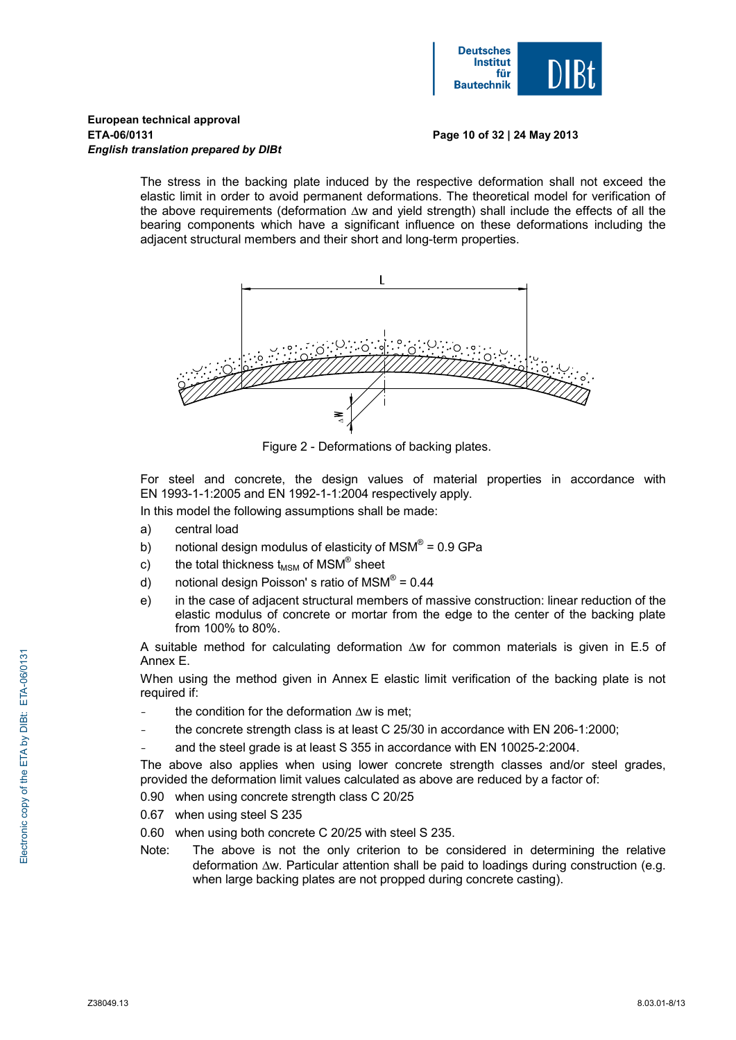

**Page 10 of 32 | 24 May 2013** 

The stress in the backing plate induced by the respective deformation shall not exceed the elastic limit in order to avoid permanent deformations. The theoretical model for verification of the above requirements (deformation Δw and yield strength) shall include the effects of all the bearing components which have a significant influence on these deformations including the adjacent structural members and their short and long-term properties.



Figure 2 - Deformations of backing plates.

For steel and concrete, the design values of material properties in accordance with EN 1993-1-1:2005 and EN 1992-1-1:2004 respectively apply.

In this model the following assumptions shall be made:

- a) central load
- b) notional design modulus of elasticity of MSM $^{\circ}$  = 0.9 GPa
- c) the total thickness  $t_{\text{MSM}}$  of MSM<sup>®</sup> sheet
- d) notional design Poisson's ratio of MSM<sup>®</sup> = 0.44
- e) in the case of adjacent structural members of massive construction: linear reduction of the elastic modulus of concrete or mortar from the edge to the center of the backing plate from 100% to 80%.

A suitable method for calculating deformation Δw for common materials is given in E.5 of Annex E.

When using the method given in Annex E elastic limit verification of the backing plate is not required if:

- the condition for the deformation Δw is met;
- the concrete strength class is at least C 25/30 in accordance with EN 206-1:2000;
- and the steel grade is at least S 355 in accordance with EN 10025-2:2004.

The above also applies when using lower concrete strength classes and/or steel grades, provided the deformation limit values calculated as above are reduced by a factor of:

- 0.90 when using concrete strength class C 20/25
- 0.67 when using steel S 235
- 0.60 when using both concrete C 20/25 with steel S 235.
- Note: The above is not the only criterion to be considered in determining the relative deformation Δw. Particular attention shall be paid to loadings during construction (e.g. when large backing plates are not propped during concrete casting).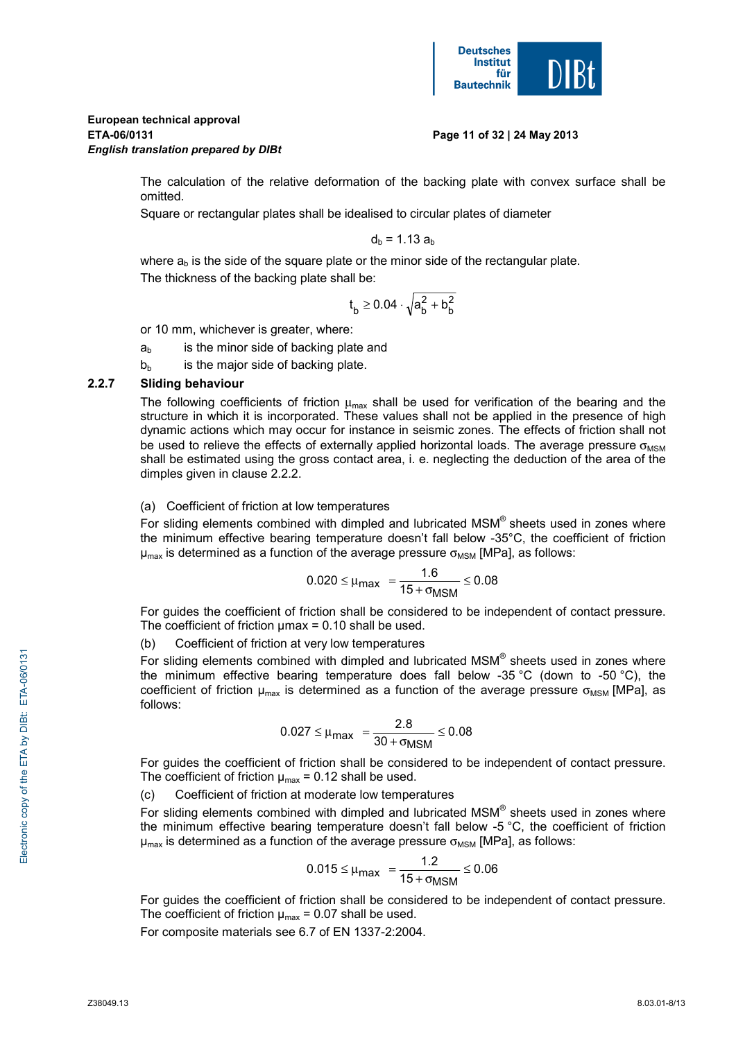

#### **Page 11 of 32 | 24 May 2013**

The calculation of the relative deformation of the backing plate with convex surface shall be omitted.

Square or rectangular plates shall be idealised to circular plates of diameter

$$
d_b = 1.13 a_b
$$

where  $a<sub>b</sub>$  is the side of the square plate or the minor side of the rectangular plate. The thickness of the backing plate shall be:

$$
t_b \geq 0.04 \cdot \sqrt{a_b^2 + b_b^2}
$$

or 10 mm, whichever is greater, where:

 $a<sub>b</sub>$  is the minor side of backing plate and

 $b<sub>b</sub>$  is the major side of backing plate.

#### **2.2.7 Sliding behaviour**

The following coefficients of friction  $\mu_{max}$  shall be used for verification of the bearing and the structure in which it is incorporated. These values shall not be applied in the presence of high dynamic actions which may occur for instance in seismic zones. The effects of friction shall not be used to relieve the effects of externally applied horizontal loads. The average pressure  $\sigma_{\text{MSM}}$ shall be estimated using the gross contact area, i. e. neglecting the deduction of the area of the dimples given in clause 2.2.2.

#### (a) Coefficient of friction at low temperatures

For sliding elements combined with dimpled and lubricated MSM® sheets used in zones where the minimum effective bearing temperature doesn't fall below -35°C, the coefficient of friction  $\mu_{\text{max}}$  is determined as a function of the average pressure  $\sigma_{\text{MSM}}$  [MPa], as follows:

$$
0.020 \leq \mu_{max} = \frac{1.6}{15 + \sigma_{MSM}} \leq 0.08
$$

For guides the coefficient of friction shall be considered to be independent of contact pressure. The coefficient of friction  $\mu$ max = 0.10 shall be used.

(b) Coefficient of friction at very low temperatures

For sliding elements combined with dimpled and lubricated MSM® sheets used in zones where the minimum effective bearing temperature does fall below -35 °C (down to -50 °C), the coefficient of friction  $\mu_{max}$  is determined as a function of the average pressure  $\sigma_{MSM}$  [MPa], as follows:

$$
0.027 \leq \mu_{max} = \frac{2.8}{30 + \sigma_{MSM}} \leq 0.08
$$

For guides the coefficient of friction shall be considered to be independent of contact pressure. The coefficient of friction  $\mu_{\text{max}} = 0.12$  shall be used.

(c) Coefficient of friction at moderate low temperatures

For sliding elements combined with dimpled and lubricated MSM® sheets used in zones where the minimum effective bearing temperature doesn't fall below -5 °C, the coefficient of friction  $\mu_{\text{max}}$  is determined as a function of the average pressure  $\sigma_{\text{MSM}}$  [MPa], as follows:

$$
0.015 \leq \mu_{max} = \frac{1.2}{15 + \sigma_{MSM}} \leq 0.06
$$

For guides the coefficient of friction shall be considered to be independent of contact pressure. The coefficient of friction  $\mu_{\text{max}} = 0.07$  shall be used.

For composite materials see 6.7 of EN 1337-2:2004.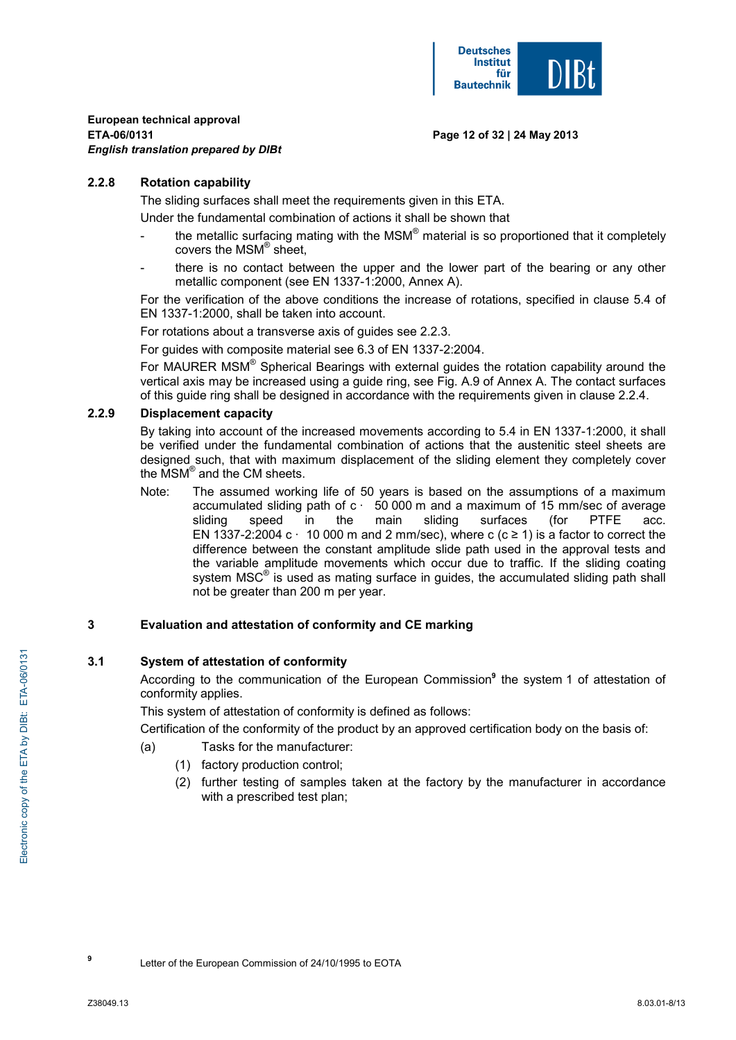

**Page 12 of 32 | 24 May 2013** 

**European technical approval ETA-06/0131**  *English translation prepared by DIBt*

# **2.2.8 Rotation capability**

The sliding surfaces shall meet the requirements given in this ETA.

Under the fundamental combination of actions it shall be shown that

- the metallic surfacing mating with the MSM<sup>®</sup> material is so proportioned that it completely covers the MSM® sheet,
- there is no contact between the upper and the lower part of the bearing or any other metallic component (see EN 1337-1:2000, Annex A).

For the verification of the above conditions the increase of rotations, specified in clause 5.4 of EN 1337-1:2000, shall be taken into account.

For rotations about a transverse axis of guides see 2.2.3.

For guides with composite material see 6.3 of EN 1337-2:2004.

For MAURER MSM® Spherical Bearings with external guides the rotation capability around the vertical axis may be increased using a guide ring, see Fig. A.9 of Annex A. The contact surfaces of this guide ring shall be designed in accordance with the requirements given in clause 2.2.4.

#### **2.2.9 Displacement capacity**

By taking into account of the increased movements according to 5.4 in EN 1337-1:2000, it shall be verified under the fundamental combination of actions that the austenitic steel sheets are designed such, that with maximum displacement of the sliding element they completely cover the MSM® and the CM sheets.

Note: The assumed working life of 50 years is based on the assumptions of a maximum accumulated sliding path of c · 50 000 m and a maximum of 15 mm/sec of average sliding speed in the main sliding surfaces (for PTFE acc. EN 1337-2:2004 c  $\cdot$  10 000 m and 2 mm/sec), where c (c  $\geq$  1) is a factor to correct the difference between the constant amplitude slide path used in the approval tests and the variable amplitude movements which occur due to traffic. If the sliding coating system  $\mathsf{MSC}^\circledast$  is used as mating surface in guides, the accumulated sliding path shall not be greater than 200 m per year.

### **3 Evaluation and attestation of conformity and CE marking**

### **3.1 System of attestation of conformity**

According to the communication of the European Commission**<sup>9</sup>** the system 1 of attestation of conformity applies.

This system of attestation of conformity is defined as follows:

Certification of the conformity of the product by an approved certification body on the basis of:

- (a) Tasks for the manufacturer:
	- (1) factory production control;
	- (2) further testing of samples taken at the factory by the manufacturer in accordance with a prescribed test plan;

Electronic copy of the ETA by DIBt: ETA-06/0131

Electronic copy of the ETA by DIBt: ETA-06/0131

Letter of the European Commission of 24/10/1995 to EOTA

**9**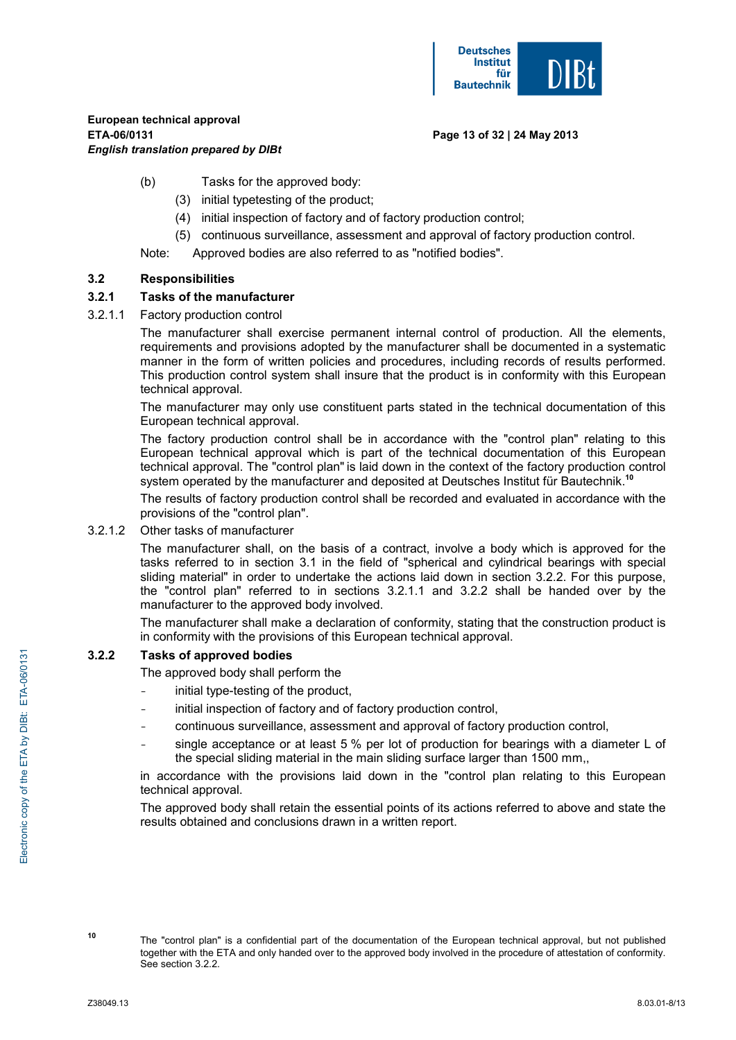

**Page 13 of 32 | 24 May 2013** 

- (b) Tasks for the approved body:
	- (3) initial typetesting of the product;
	- (4) initial inspection of factory and of factory production control;
	- (5) continuous surveillance, assessment and approval of factory production control.

Note: Approved bodies are also referred to as "notified bodies".

### **3.2 Responsibilities**

### **3.2.1 Tasks of the manufacturer**

3.2.1.1 Factory production control

The manufacturer shall exercise permanent internal control of production. All the elements, requirements and provisions adopted by the manufacturer shall be documented in a systematic manner in the form of written policies and procedures, including records of results performed. This production control system shall insure that the product is in conformity with this European technical approval.

The manufacturer may only use constituent parts stated in the technical documentation of this European technical approval.

The factory production control shall be in accordance with the "control plan" relating to this European technical approval which is part of the technical documentation of this European technical approval. The "control plan" is laid down in the context of the factory production control system operated by the manufacturer and deposited at Deutsches Institut für Bautechnik.**<sup>10</sup>**

The results of factory production control shall be recorded and evaluated in accordance with the provisions of the "control plan".

### 3.2.1.2 Other tasks of manufacturer

The manufacturer shall, on the basis of a contract, involve a body which is approved for the tasks referred to in section 3.1 in the field of "spherical and cylindrical bearings with special sliding material" in order to undertake the actions laid down in section 3.2.2. For this purpose, the "control plan" referred to in sections 3.2.1.1 and 3.2.2 shall be handed over by the manufacturer to the approved body involved.

The manufacturer shall make a declaration of conformity, stating that the construction product is in conformity with the provisions of this European technical approval.

### **3.2.2 Tasks of approved bodies**

The approved body shall perform the

- initial type-testing of the product,
- initial inspection of factory and of factory production control,
- continuous surveillance, assessment and approval of factory production control,
- single acceptance or at least 5 % per lot of production for bearings with a diameter L of the special sliding material in the main sliding surface larger than 1500 mm,,

in accordance with the provisions laid down in the "control plan relating to this European technical approval.

The approved body shall retain the essential points of its actions referred to above and state the results obtained and conclusions drawn in a written report.

**<sup>10</sup>** The "control plan" is a confidential part of the documentation of the European technical approval, but not published together with the ETA and only handed over to the approved body involved in the procedure of attestation of conformity. See section 3.2.2.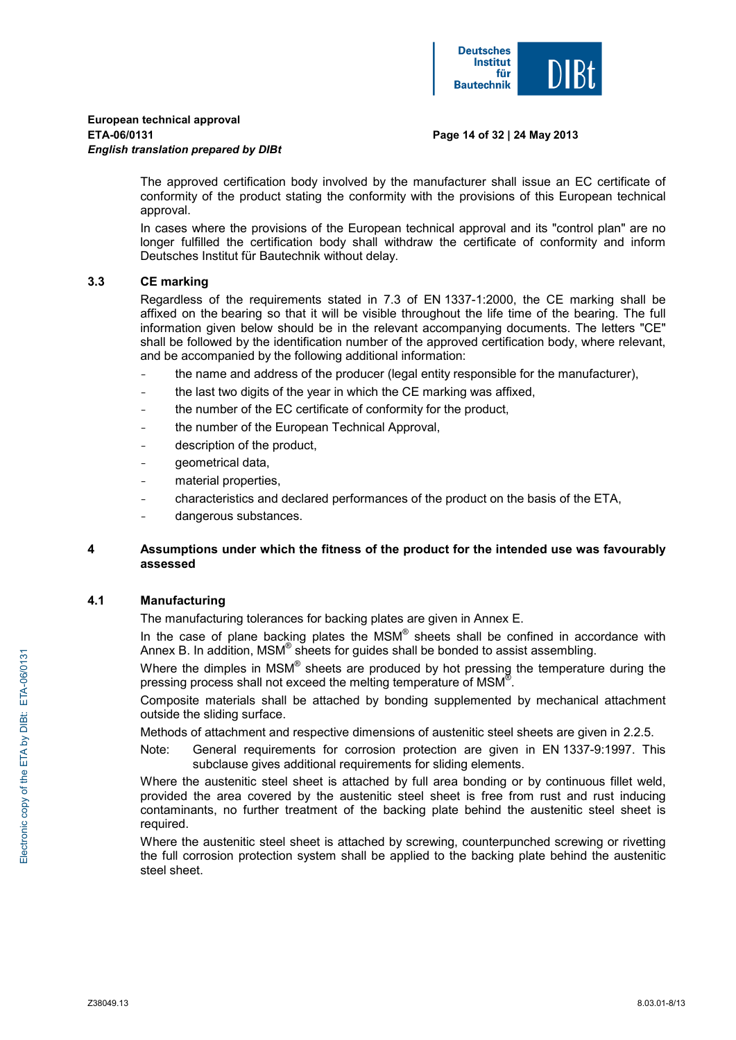

#### **Page 14 of 32 | 24 May 2013**

The approved certification body involved by the manufacturer shall issue an EC certificate of conformity of the product stating the conformity with the provisions of this European technical approval.

In cases where the provisions of the European technical approval and its "control plan" are no longer fulfilled the certification body shall withdraw the certificate of conformity and inform Deutsches Institut für Bautechnik without delay.

#### **3.3 CE marking**

Regardless of the requirements stated in 7.3 of EN 1337-1:2000, the CE marking shall be affixed on the bearing so that it will be visible throughout the life time of the bearing. The full information given below should be in the relevant accompanying documents. The letters "CE" shall be followed by the identification number of the approved certification body, where relevant, and be accompanied by the following additional information:

- the name and address of the producer (legal entity responsible for the manufacturer),
- the last two digits of the year in which the CE marking was affixed,
- the number of the EC certificate of conformity for the product,
- the number of the European Technical Approval,
- description of the product,
- aeometrical data.
- material properties,
- characteristics and declared performances of the product on the basis of the ETA,
- dangerous substances.

### **4 Assumptions under which the fitness of the product for the intended use was favourably assessed**

### **4.1 Manufacturing**

The manufacturing tolerances for backing plates are given in Annex E.

In the case of plane backing plates the  $MSM^{\circledast}$  sheets shall be confined in accordance with Annex B. In addition, MSM $^{\circ}$  sheets for guides shall be bonded to assist assembling.

Where the dimples in MSM $^{\circ}$  sheets are produced by hot pressing the temperature during the pressing process shall not exceed the melting temperature of MSM<sup>®</sup>.

Composite materials shall be attached by bonding supplemented by mechanical attachment outside the sliding surface.

Methods of attachment and respective dimensions of austenitic steel sheets are given in 2.2.5.

Note: General requirements for corrosion protection are given in EN 1337-9:1997. This subclause gives additional requirements for sliding elements.

Where the austenitic steel sheet is attached by full area bonding or by continuous fillet weld, provided the area covered by the austenitic steel sheet is free from rust and rust inducing contaminants, no further treatment of the backing plate behind the austenitic steel sheet is required.

Where the austenitic steel sheet is attached by screwing, counterpunched screwing or rivetting the full corrosion protection system shall be applied to the backing plate behind the austenitic steel sheet.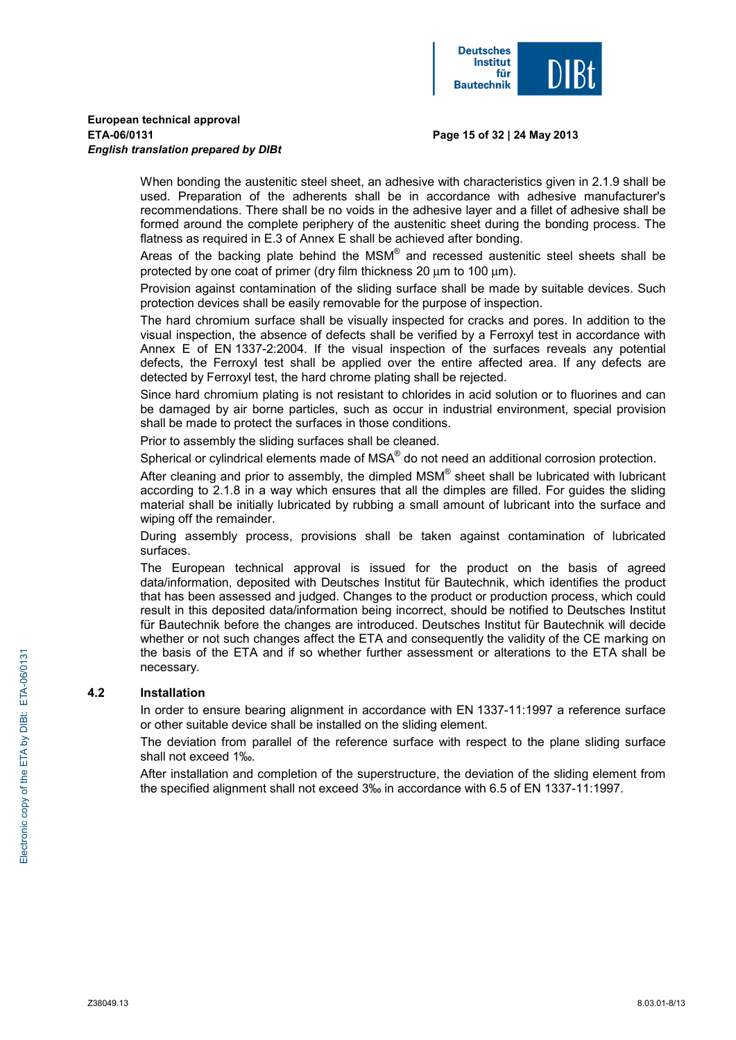

#### **Page 15 of 32 | 24 May 2013**

When bonding the austenitic steel sheet, an adhesive with characteristics given in 2.1.9 shall be used. Preparation of the adherents shall be in accordance with adhesive manufacturer's recommendations. There shall be no voids in the adhesive layer and a fillet of adhesive shall be formed around the complete periphery of the austenitic sheet during the bonding process. The flatness as required in E.3 of Annex E shall be achieved after bonding.

Areas of the backing plate behind the MSM $^{\circ}$  and recessed austenitic steel sheets shall be protected by one coat of primer (dry film thickness 20 μm to 100 μm).

Provision against contamination of the sliding surface shall be made by suitable devices. Such protection devices shall be easily removable for the purpose of inspection.

The hard chromium surface shall be visually inspected for cracks and pores. In addition to the visual inspection, the absence of defects shall be verified by a Ferroxyl test in accordance with Annex E of EN 1337-2:2004. If the visual inspection of the surfaces reveals any potential defects, the Ferroxyl test shall be applied over the entire affected area. If any defects are detected by Ferroxyl test, the hard chrome plating shall be rejected.

Since hard chromium plating is not resistant to chlorides in acid solution or to fluorines and can be damaged by air borne particles, such as occur in industrial environment, special provision shall be made to protect the surfaces in those conditions.

Prior to assembly the sliding surfaces shall be cleaned.

Spherical or cylindrical elements made of MSA $^{\circ}$  do not need an additional corrosion protection.

After cleaning and prior to assembly, the dimpled MSM<sup>®</sup> sheet shall be lubricated with lubricant according to 2.1.8 in a way which ensures that all the dimples are filled. For guides the sliding material shall be initially lubricated by rubbing a small amount of lubricant into the surface and wiping off the remainder.

During assembly process, provisions shall be taken against contamination of lubricated surfaces.

The European technical approval is issued for the product on the basis of agreed data/information, deposited with Deutsches Institut für Bautechnik, which identifies the product that has been assessed and judged. Changes to the product or production process, which could result in this deposited data/information being incorrect, should be notified to Deutsches Institut für Bautechnik before the changes are introduced. Deutsches Institut für Bautechnik will decide whether or not such changes affect the ETA and consequently the validity of the CE marking on the basis of the ETA and if so whether further assessment or alterations to the ETA shall be necessary.

#### **4.2 Installation**

In order to ensure bearing alignment in accordance with EN 1337-11:1997 a reference surface or other suitable device shall be installed on the sliding element.

The deviation from parallel of the reference surface with respect to the plane sliding surface shall not exceed 1‰.

After installation and completion of the superstructure, the deviation of the sliding element from the specified alignment shall not exceed 3‰ in accordance with 6.5 of EN 1337-11:1997.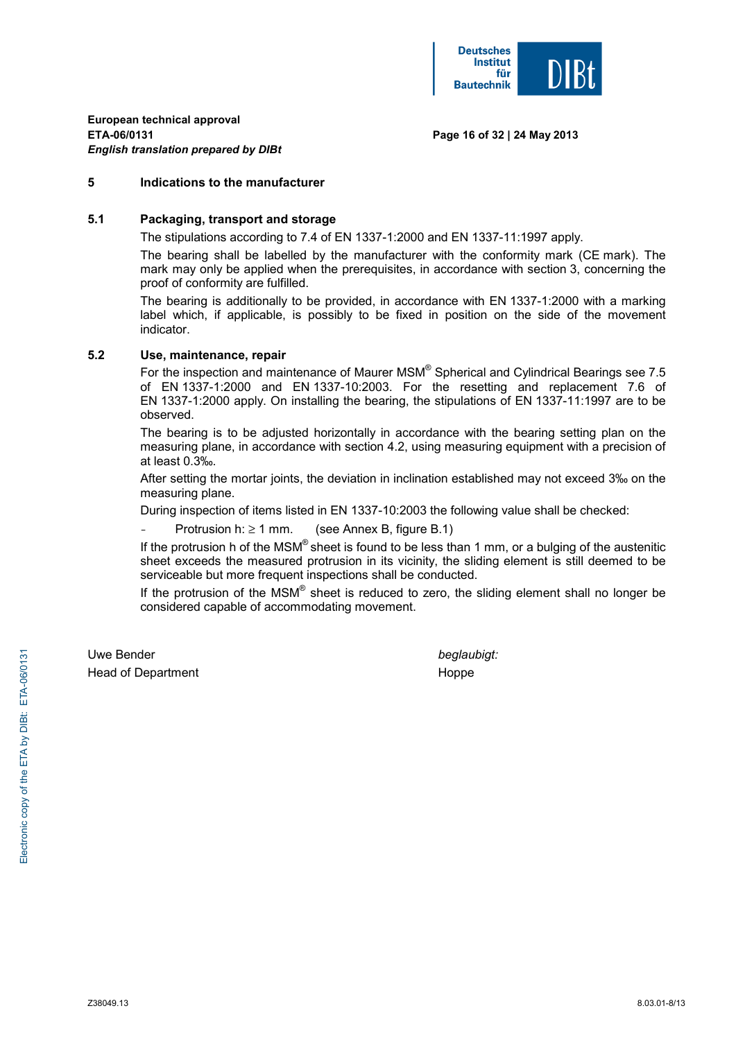

**Page 16 of 32 | 24 May 2013** 

### **5 Indications to the manufacturer**

#### **5.1 Packaging, transport and storage**

The stipulations according to 7.4 of EN 1337-1:2000 and EN 1337-11:1997 apply.

The bearing shall be labelled by the manufacturer with the conformity mark (CE mark). The mark may only be applied when the prerequisites, in accordance with section 3, concerning the proof of conformity are fulfilled.

The bearing is additionally to be provided, in accordance with EN 1337-1:2000 with a marking label which, if applicable, is possibly to be fixed in position on the side of the movement indicator.

#### **5.2 Use, maintenance, repair**

For the inspection and maintenance of Maurer MSM® Spherical and Cylindrical Bearings see 7.5 of EN 1337-1:2000 and EN 1337-10:2003. For the resetting and replacement 7.6 of EN 1337-1:2000 apply. On installing the bearing, the stipulations of EN 1337-11:1997 are to be observed.

The bearing is to be adjusted horizontally in accordance with the bearing setting plan on the measuring plane, in accordance with section 4.2, using measuring equipment with a precision of at least 0.3‰.

After setting the mortar joints, the deviation in inclination established may not exceed 3‰ on the measuring plane.

During inspection of items listed in EN 1337-10:2003 the following value shall be checked:

Protrusion h:  $\geq 1$  mm. (see Annex B, figure B.1)

If the protrusion h of the MSM<sup>®</sup> sheet is found to be less than 1 mm, or a bulging of the austenitic sheet exceeds the measured protrusion in its vicinity, the sliding element is still deemed to be serviceable but more frequent inspections shall be conducted.

If the protrusion of the MSM $^{\circ}$  sheet is reduced to zero, the sliding element shall no longer be considered capable of accommodating movement.

Uwe Bender **begins** begins the begins of the begins begins begins begins the begins begins the begins of the begins of the begins of the begins of the begins of the begins of the begins of the begins of the begins of the b Head of Department Hoppe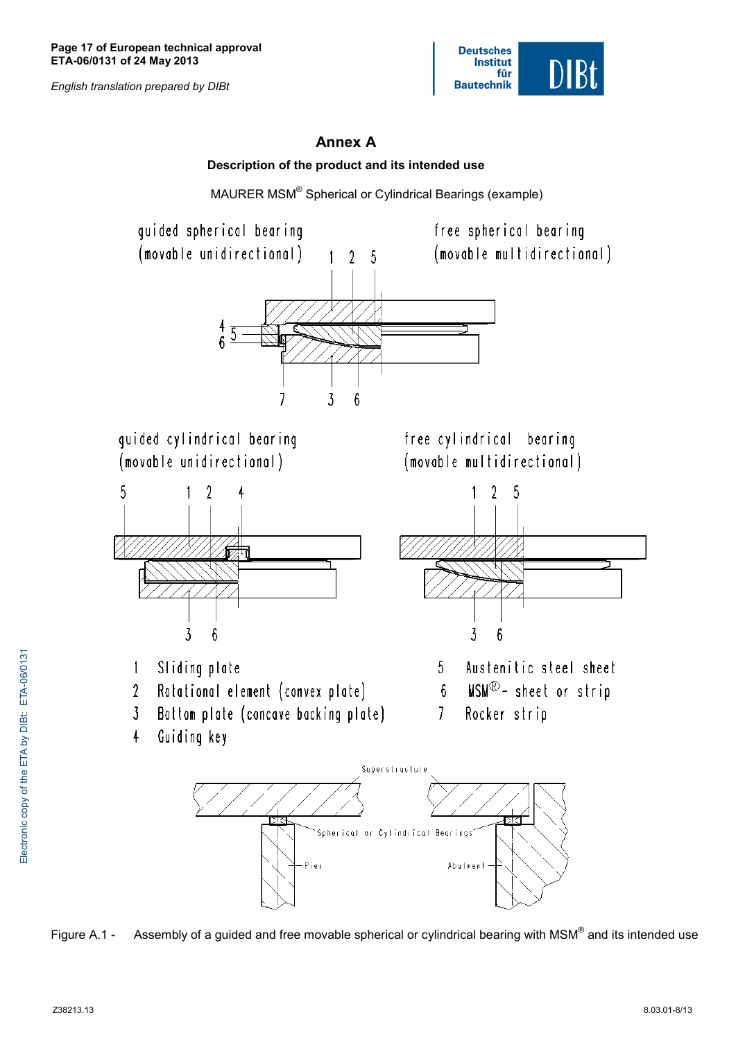

# **Annex A**

### **Description of the product and its intended use**

MAURER MSM® Spherical or Cylindrical Bearings (example)



Figure A.1 - Assembly of a guided and free movable spherical or cylindrical bearing with MSM<sup>®</sup> and its intended use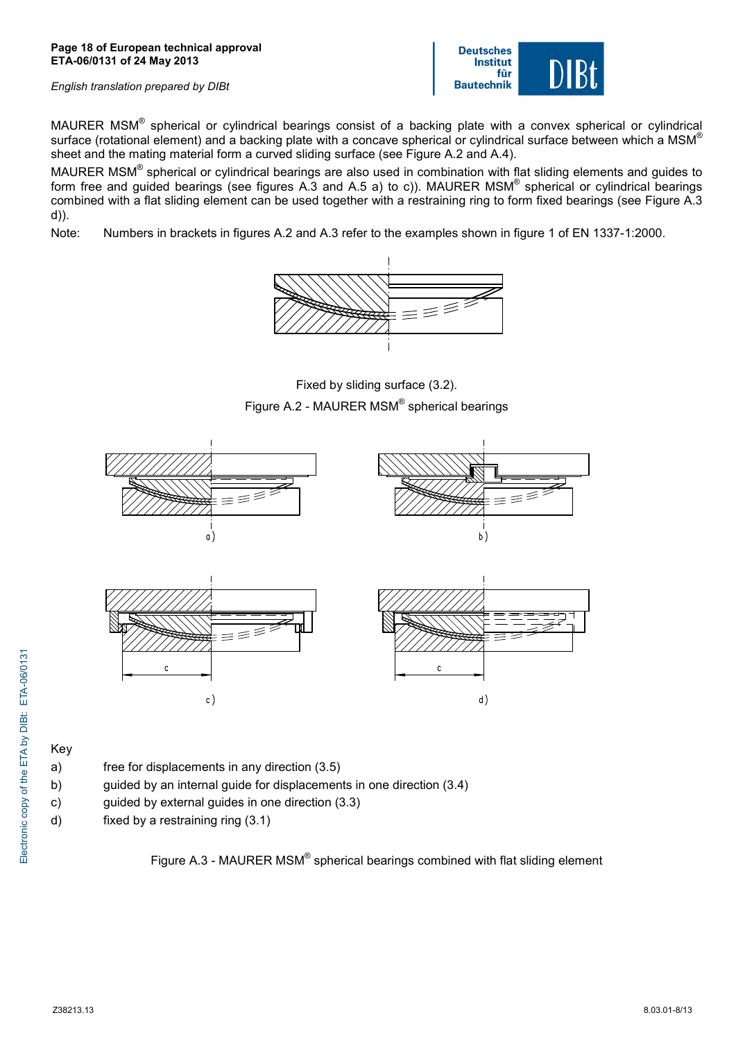

MAURER MSM® spherical or cylindrical bearings consist of a backing plate with a convex spherical or cylindrical surface (rotational element) and a backing plate with a concave spherical or cylindrical surface between which a MSM® sheet and the mating material form a curved sliding surface (see Figure A.2 and A.4).

MAURER MSM<sup>®</sup> spherical or cylindrical bearings are also used in combination with flat sliding elements and guides to form free and guided bearings (see figures A.3 and A.5 a) to c)). MAURER MSM® spherical or cylindrical bearings combined with a flat sliding element can be used together with a restraining ring to form fixed bearings (see Figure A.3 d)).

Note: Numbers in brackets in figures A.2 and A.3 refer to the examples shown in figure 1 of EN 1337-1:2000.



Fixed by sliding surface (3.2). Figure A.2 - MAURER MSM® spherical bearings



Electronic copy of the ETA by DIBt: ETA-06/0131

Electronic copy of the ETA by DIBt: ETA-06/0131

a) free for displacements in any direction (3.5)

- b) guided by an internal guide for displacements in one direction (3.4)
- c) guided by external guides in one direction (3.3)

d) fixed by a restraining ring (3.1)

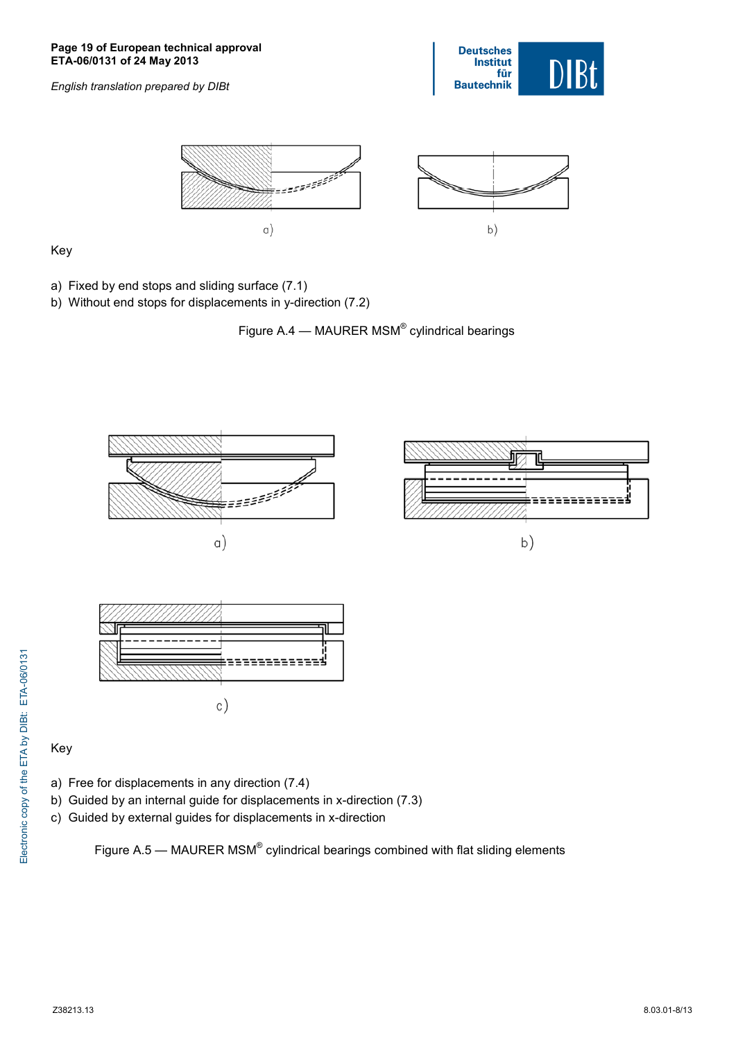#### **Page 19 of European technical approval ETA-06/0131 of 24 May 2013**

*English translation prepared by DIBt* 





Key

- a) Fixed by end stops and sliding surface (7.1)
- b) Without end stops for displacements in y-direction (7.2)

Figure A.4 — MAURER MSM<sup>®</sup> cylindrical bearings







### Key

- a) Free for displacements in any direction (7.4)
- b) Guided by an internal guide for displacements in x-direction (7.3)
- c) Guided by external guides for displacements in x-direction

Figure A.5  $-$  MAURER MSM<sup>®</sup> cylindrical bearings combined with flat sliding elements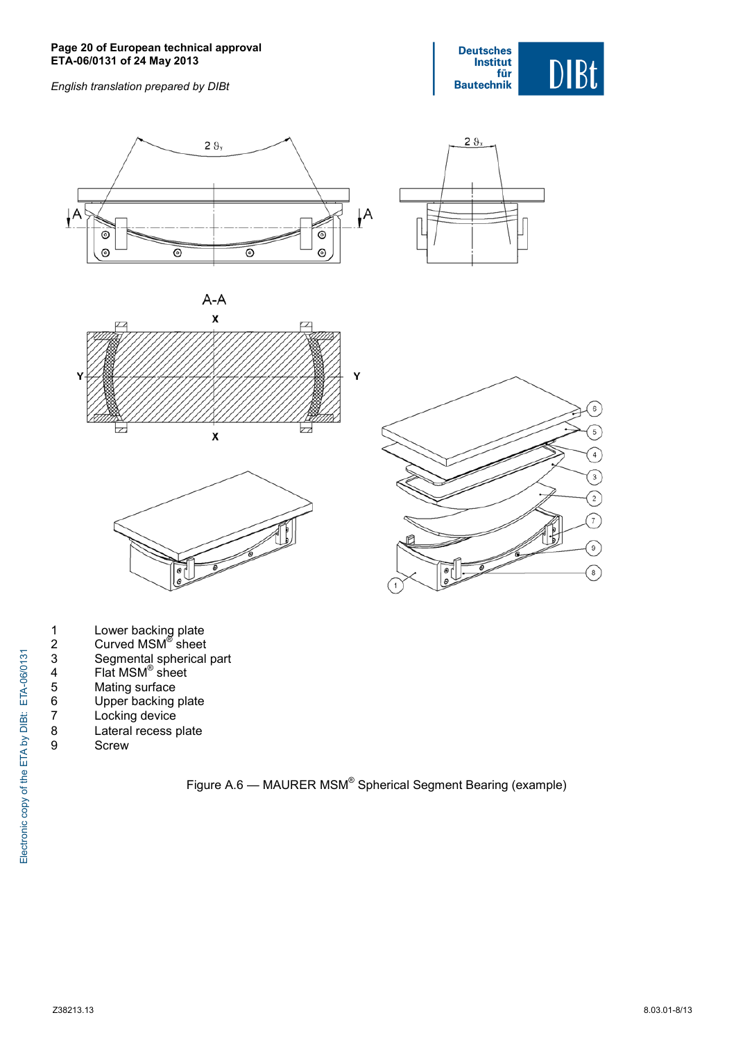#### **Page 20 of European technical approval ETA-06/0131 of 24 May 2013**

*English translation prepared by DIBt* 













1 Lower backing plate 2 Curved MSM<sup>®</sup> sheet 3 Segmental spherical part 4 Flat MSM® sheet 5 Mating surface 6 Upper backing plate

- 7 Locking device
- 8 Lateral recess plate
	-
- 9 Screw

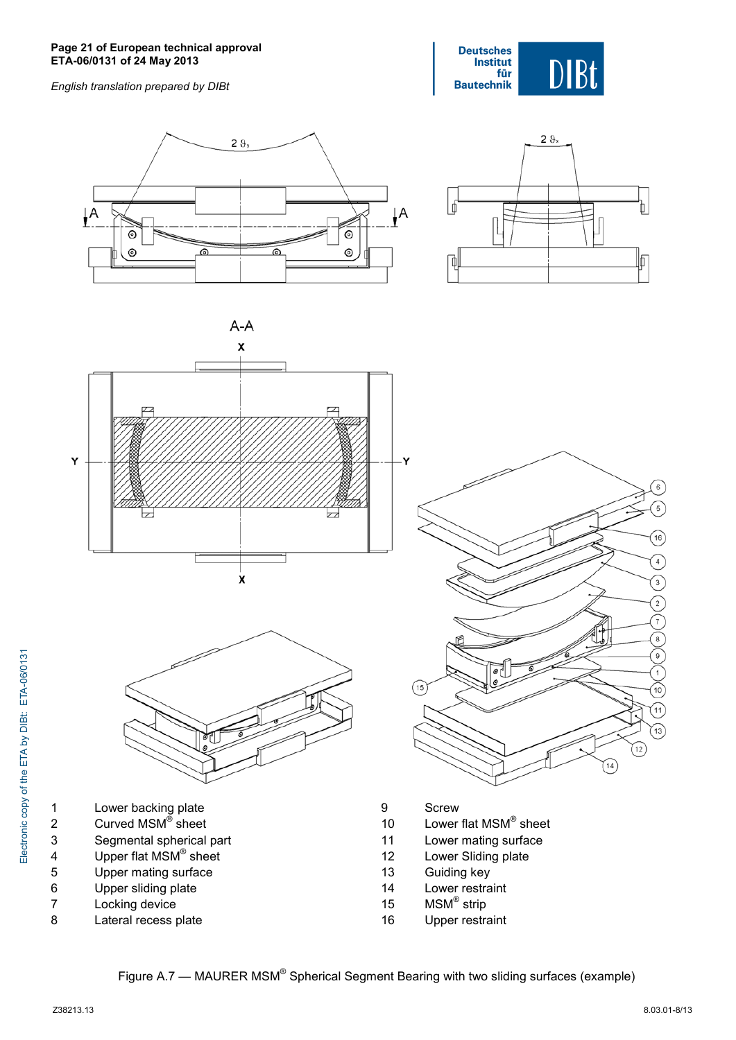**Page 21 of European technical approval ETA-06/0131 of 24 May 2013** 

*English translation prepared by DIBt* 











- 1 Lower backing plate 2 Curved MSM<sup>®</sup> sheet 3 Segmental spherical part 4 Upper flat MSM $^{\circ}$  sheet 5 Upper mating surface 6 Upper sliding plate
- 7 Locking device 8 Lateral recess plate

9 Screw

 $\sqrt{15}$ 

10 Lower flat MSM<sup>®</sup> sheet

 $\Omega$ 

- 11 Lower mating surface
- 12 Lower Sliding plate
- 13 Guiding key
- 14 Lower restraint
- 15 MSM<sup>®</sup> strip
- 16 Upper restraint

Figure A.7 — MAURER MSM<sup>®</sup> Spherical Segment Bearing with two sliding surfaces (example)

 $\widehat{16}$  $\curvearrowleft$ 

 $\overline{\mathbf{3}}$  $\widehat{\mathbf{r}}$ 7  $\mathbf{e}$ 

 $\widehat{\,}$ 

 $10^{-1}$  $\left( \frac{1}{2} \right)$  $\widehat{13}$ 

 $\sqrt{12}$ 

 $\overline{14}$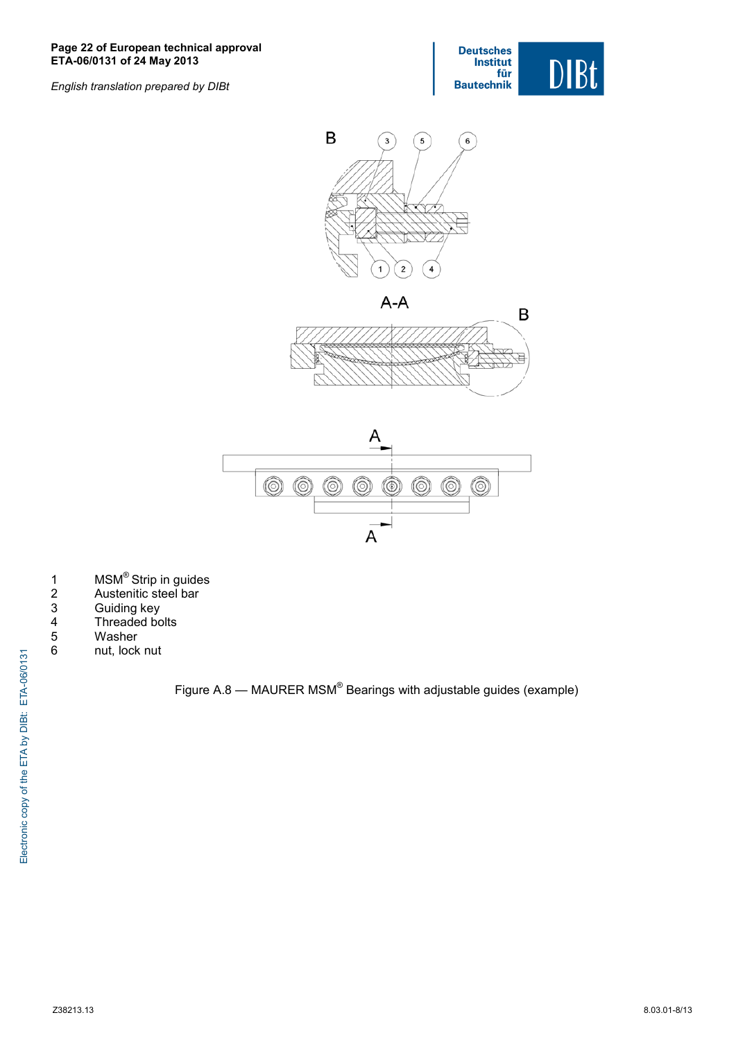#### **Page 22 of European technical approval ETA-06/0131 of 24 May 2013**

*English translation prepared by DIBt* 









- 1 MSM<sup>®</sup> Strip in guides 2 Austenitic steel bar 2 Austenitic st<br>3 Guiding key<br>4 Threaded bo
- 4 Threaded bolts<br>5 Washer
- 5 Washer<br>6 nut, lock
	- nut, lock nut

Figure A.8 — MAURER MSM<sup>®</sup> Bearings with adjustable guides (example)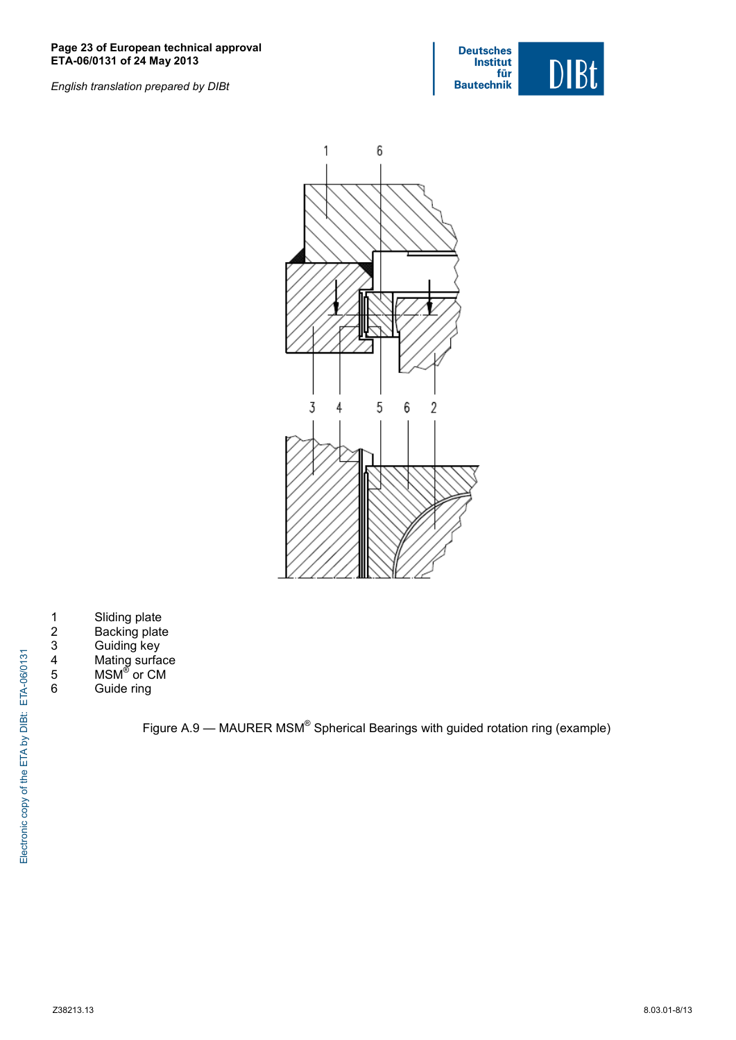#### **Page 23 of European technical approval ETA-06/0131 of 24 May 2013**

*English translation prepared by DIBt* 





1 Sliding plate<br>2 Backing plate 2 Backing plate<br>3 Guiding key 3 Guiding key<br>4 Mating surfa 4 Mating surface 5 MSM<sup>®</sup> or CM 6 Guide ring

Figure A.9 — MAURER MSM<sup>®</sup> Spherical Bearings with guided rotation ring (example)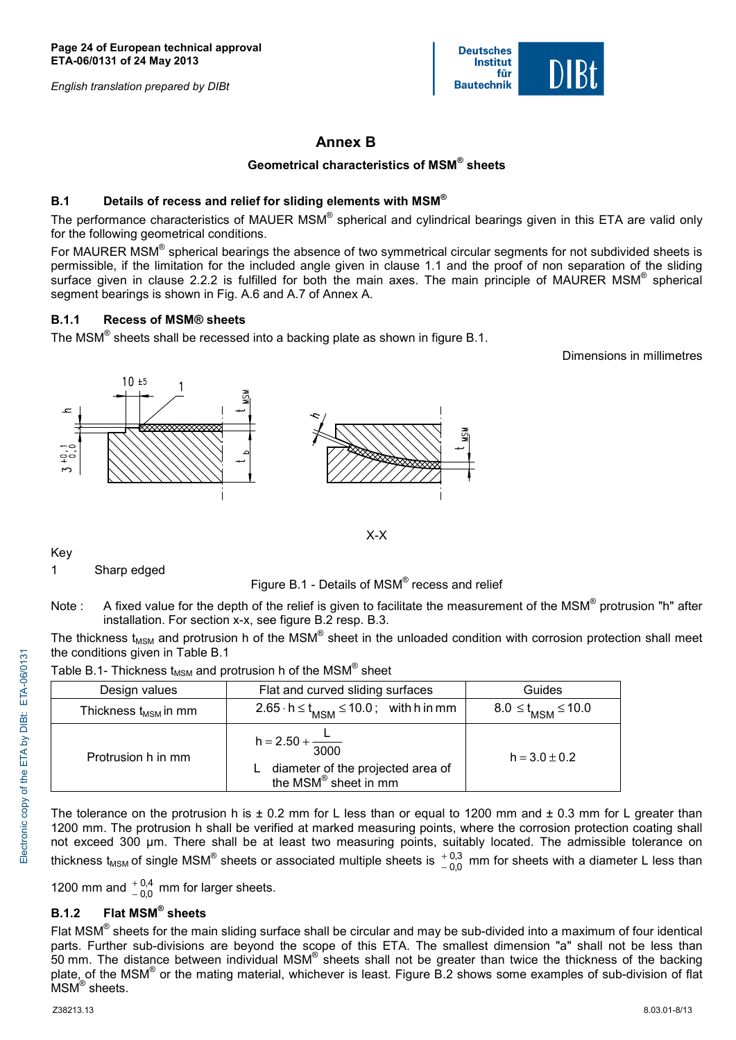

# **Annex B**

### **Geometrical characteristics of MSM® sheets**

### **B.1 Details of recess and relief for sliding elements with MSM®**

The performance characteristics of MAUER MSM® spherical and cylindrical bearings given in this ETA are valid only for the following geometrical conditions.

For MAURER MSM® spherical bearings the absence of two symmetrical circular segments for not subdivided sheets is permissible, if the limitation for the included angle given in clause 1.1 and the proof of non separation of the sliding surface given in clause 2.2.2 is fulfilled for both the main axes. The main principle of MAURER MSM® spherical segment bearings is shown in Fig. A.6 and A.7 of Annex A.

### **B.1.1 Recess of MSM® sheets**

The MSM<sup>®</sup> sheets shall be recessed into a backing plate as shown in figure B.1.

Dimensions in millimetres



X-X

Key

1 Sharp edged

### Figure B.1 - Details of MSM $^{\circ}$  recess and relief

Note : A fixed value for the depth of the relief is given to facilitate the measurement of the MSM® protrusion "h" after installation. For section x-x, see figure B.2 resp. B.3.

The thickness t<sub>MSM</sub> and protrusion h of the MSM® sheet in the unloaded condition with corrosion protection shall meet the conditions given in Table B.1

| Table B.1- Thickness $t_{\text{MSM}}$ and protrusion h of the MSM® sheet |  |  |  |  |  |  |  |
|--------------------------------------------------------------------------|--|--|--|--|--|--|--|
|--------------------------------------------------------------------------|--|--|--|--|--|--|--|

| Design values                    | Flat and curved sliding surfaces                                                                     | Guides                                |
|----------------------------------|------------------------------------------------------------------------------------------------------|---------------------------------------|
| Thickness $t_{\text{MSM}}$ in mm | 2.65 $\cdot$ h $\leq$ t <sub>MSM</sub> $\leq$ 10.0; with h in mm                                     | $8.0 \le t$ <sub>MSM</sub> $\le$ 10.0 |
| Protrusion h in mm               | $h = 2.50 + \frac{L}{3000}$<br>diameter of the projected area of<br>the MSM <sup>®</sup> sheet in mm | $h = 3.0 \pm 0.2$                     |

The tolerance on the protrusion h is  $\pm$  0.2 mm for L less than or equal to 1200 mm and  $\pm$  0.3 mm for L greater than 1200 mm. The protrusion h shall be verified at marked measuring points, where the corrosion protection coating shall not exceed 300 μm. There shall be at least two measuring points, suitably located. The admissible tolerance on thickness t<sub>MSM</sub> of single MSM<sup>®</sup> sheets or associated multiple sheets is  $\,{}^{+\, 0,3}_{-\, 0,0}\,$  $^{+0,3}_{-0,0}$  mm for sheets with a diameter L less than

1200 mm and  $^{+0,4}_{-0,0}$  $^{+\,0,4}_{-\,0,0}$  mm for larger sheets.

### **B.1.2 Flat MSM® sheets**

Flat MSM<sup>®</sup> sheets for the main sliding surface shall be circular and may be sub-divided into a maximum of four identical parts. Further sub-divisions are beyond the scope of this ETA. The smallest dimension "a" shall not be less than .<br>50 mm. The distance between individual MSM® sheets shall not be greater than twice the thickness of the backing plate, of the MSM<sup>®</sup> or the mating material, whichever is least. Figure B.2 shows some examples of sub-division of flat MSM® sheets.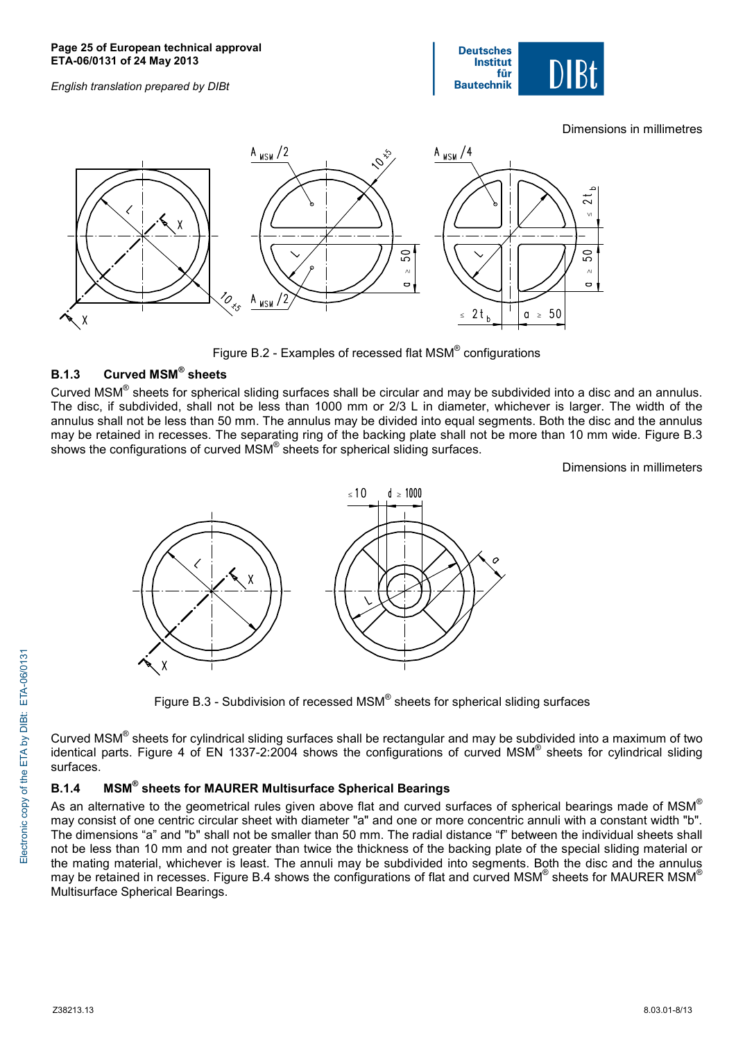#### **Page 25 of European technical approval ETA-06/0131 of 24 May 2013**

*English translation prepared by DIBt* 



Dimensions in millimetres



Figure B.2 - Examples of recessed flat MSM® configurations

### **B.1.3 Curved MSM® sheets**

Curved MSM $^{\circ}$  sheets for spherical sliding surfaces shall be circular and may be subdivided into a disc and an annulus. The disc, if subdivided, shall not be less than 1000 mm or 2/3 L in diameter, whichever is larger. The width of the annulus shall not be less than 50 mm. The annulus may be divided into equal segments. Both the disc and the annulus may be retained in recesses. The separating ring of the backing plate shall not be more than 10 mm wide. Figure B.3 shows the configurations of curved MSM® sheets for spherical sliding surfaces.

Dimensions in millimeters



Figure B.3 - Subdivision of recessed MSM $^{\circ}$  sheets for spherical sliding surfaces

Curved MSM $^{\circ}$  sheets for cylindrical sliding surfaces shall be rectangular and may be subdivided into a maximum of two identical parts. Figure 4 of EN 1337-2:2004 shows the configurations of curved MSM® sheets for cylindrical sliding surfaces.

### **B.1.4 MSM® sheets for MAURER Multisurface Spherical Bearings**

As an alternative to the geometrical rules given above flat and curved surfaces of spherical bearings made of MSM $^{\circ}$ may consist of one centric circular sheet with diameter "a" and one or more concentric annuli with a constant width "b". The dimensions "a" and "b" shall not be smaller than 50 mm. The radial distance "f" between the individual sheets shall not be less than 10 mm and not greater than twice the thickness of the backing plate of the special sliding material or the mating material, whichever is least. The annuli may be subdivided into segments. Both the disc and the annulus may be retained in recesses. Figure B.4 shows the configurations of flat and curved MSM® sheets for MAURER MSM® Multisurface Spherical Bearings.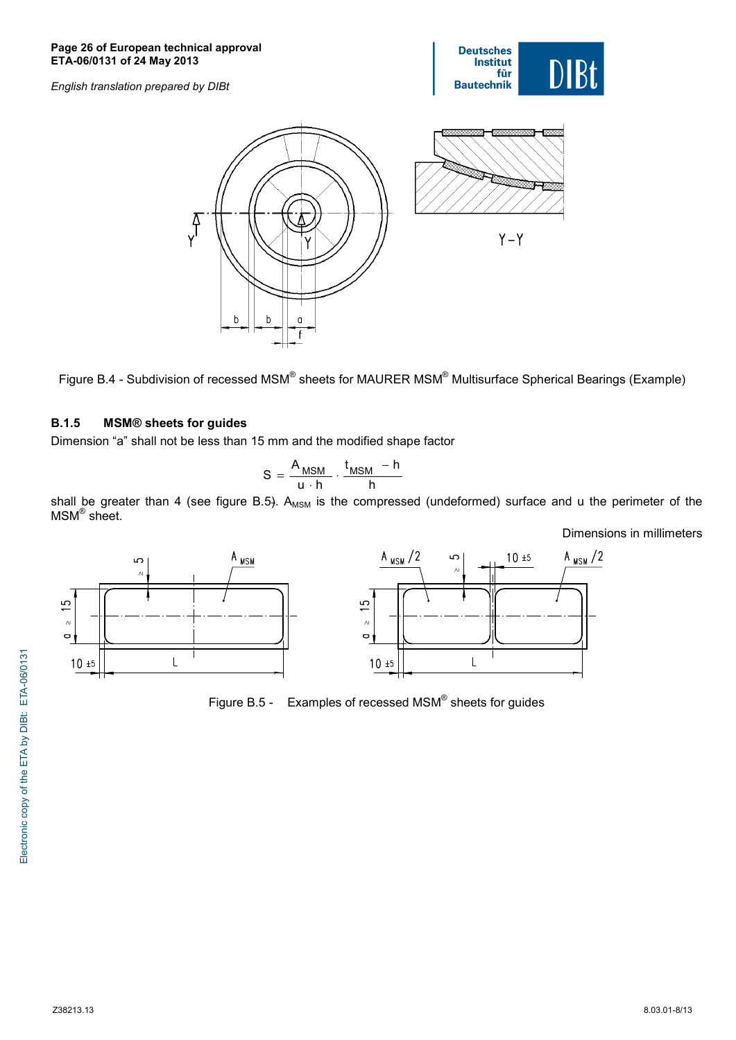#### **Page 26 of European technical approval ETA-06/0131 of 24 May 2013**

*English translation prepared by DIBt* 





Figure B.4 - Subdivision of recessed MSM® sheets for MAURER MSM® Multisurface Spherical Bearings (Example)

### **B.1.5 MSM® sheets for guides**

Dimension "a" shall not be less than 15 mm and the modified shape factor

$$
S = \frac{A_{MSM}}{u \cdot h} \cdot \frac{t_{MSM} - h}{h}
$$

shall be greater than 4 (see figure B.5). A<sub>MSM</sub> is the compressed (undeformed) surface and u the perimeter of the MSM® sheet.

Dimensions in millimeters



Figure B.5 - Examples of recessed MSM<sup>®</sup> sheets for guides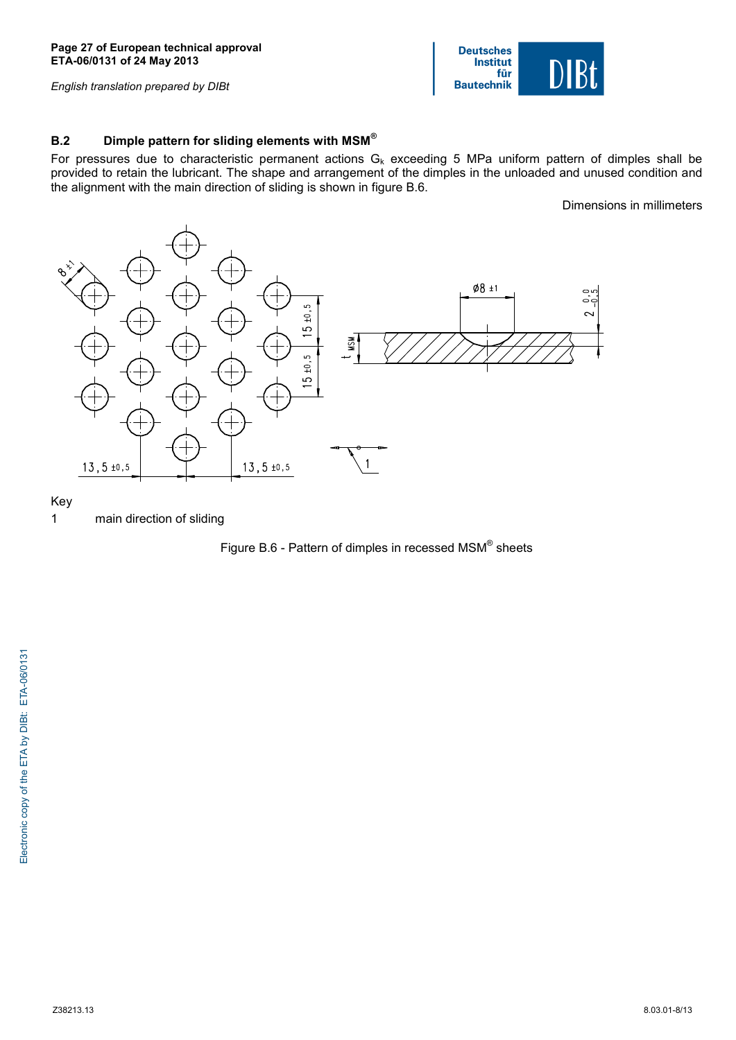

### **B.2 Dimple pattern for sliding elements with MSM®**

For pressures due to characteristic permanent actions  $G_k$  exceeding 5 MPa uniform pattern of dimples shall be provided to retain the lubricant. The shape and arrangement of the dimples in the unloaded and unused condition and the alignment with the main direction of sliding is shown in figure B.6.

Dimensions in millimeters



Key

1 main direction of sliding

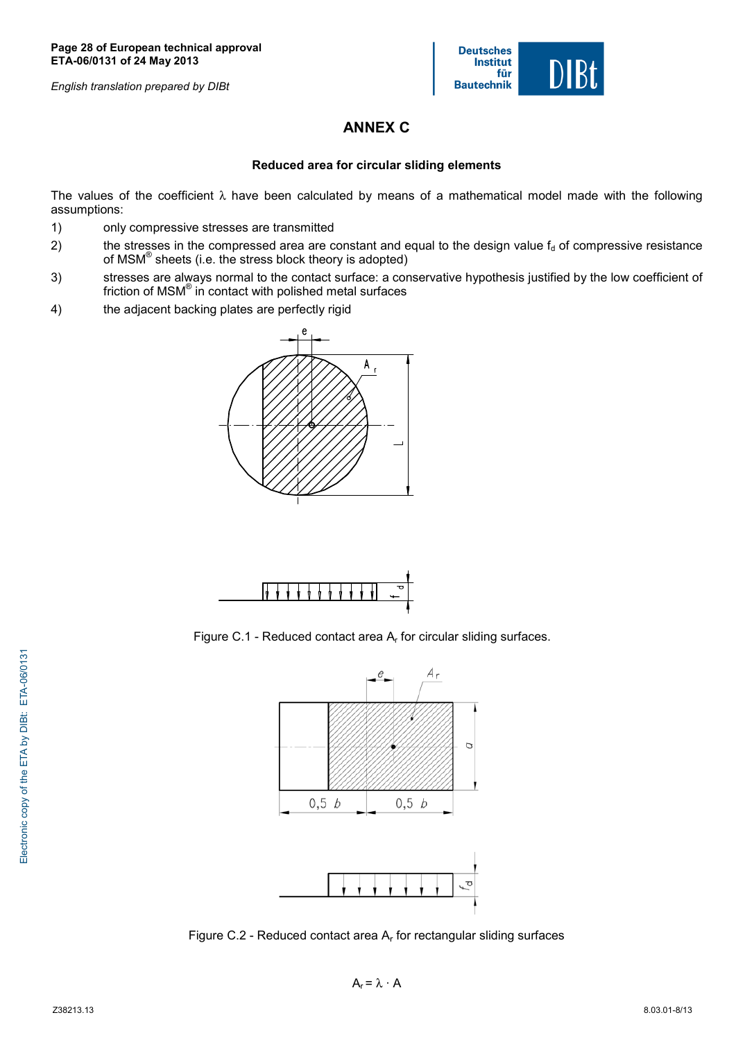

# **ANNEX C**

#### **Reduced area for circular sliding elements**

The values of the coefficient  $\lambda$  have been calculated by means of a mathematical model made with the following assumptions:

- 1) only compressive stresses are transmitted
- 2) the stresses in the compressed area are constant and equal to the design value  $f_d$  of compressive resistance of MSM $^{\circ}$  sheets (i.e. the stress block theory is adopted)
- 3) stresses are always normal to the contact surface: a conservative hypothesis justified by the low coefficient of friction of MSM® in contact with polished metal surfaces
- 4) the adjacent backing plates are perfectly rigid





Figure C.1 - Reduced contact area A<sub>r</sub> for circular sliding surfaces.



Figure C.2 - Reduced contact area  $A_r$  for rectangular sliding surfaces

Electronic copy of the ETA by DIBt: ETA-06/0131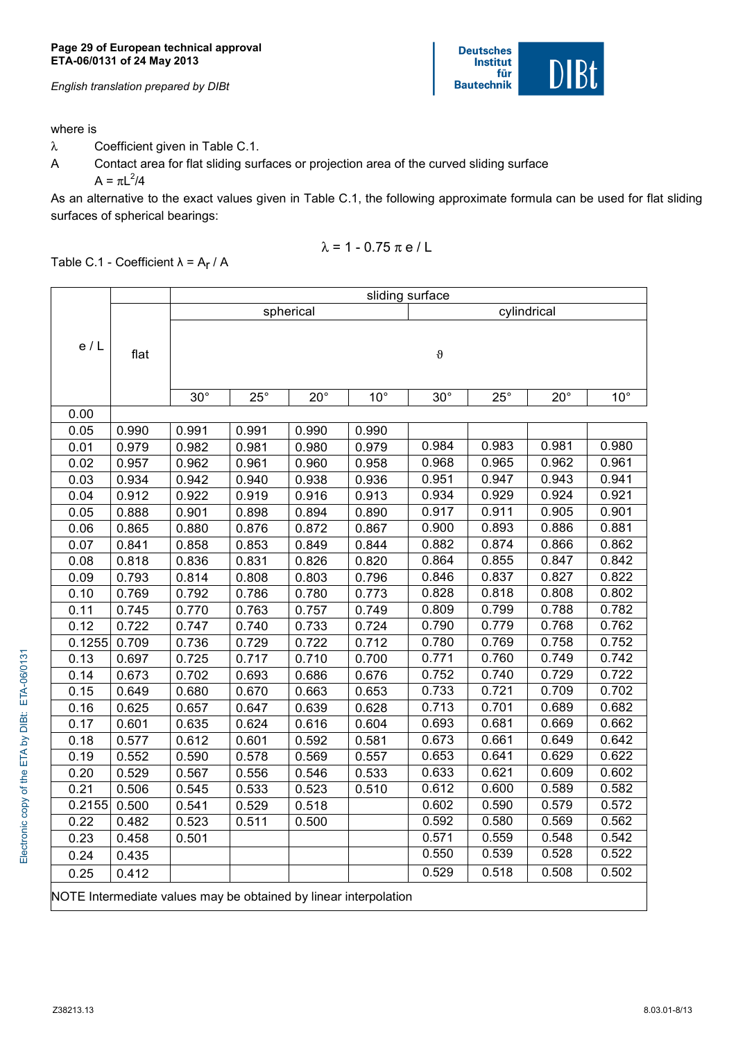

where is

λ Coefficient given in Table C.1.

A Contact area for flat sliding surfaces or projection area of the curved sliding surface

 $A = \pi L^2/4$ 

As an alternative to the exact values given in Table C.1, the following approximate formula can be used for flat sliding surfaces of spherical bearings:

$$
\lambda = 1 - 0.75 \pi e / L
$$

Table C.1 - Coefficient  $\lambda = A_f / A$ 

|        |       |            | sliding surface |              |                                                                  |             |             |              |              |
|--------|-------|------------|-----------------|--------------|------------------------------------------------------------------|-------------|-------------|--------------|--------------|
|        |       |            |                 | spherical    |                                                                  |             | cylindrical |              |              |
|        |       |            |                 |              |                                                                  |             |             |              |              |
| e/L    | flat  |            |                 |              |                                                                  | $\vartheta$ |             |              |              |
|        |       |            |                 |              |                                                                  |             |             |              |              |
|        |       |            |                 |              |                                                                  |             |             |              |              |
|        |       | $30^\circ$ | $25^\circ$      | $20^{\circ}$ | $10^{\circ}$                                                     | $30^\circ$  | $25^\circ$  | $20^{\circ}$ | $10^{\circ}$ |
| 0.00   |       |            |                 |              |                                                                  |             |             |              |              |
| 0.05   | 0.990 | 0.991      | 0.991           | 0.990        | 0.990                                                            |             |             |              |              |
| 0.01   | 0.979 | 0.982      | 0.981           | 0.980        | 0.979                                                            | 0.984       | 0.983       | 0.981        | 0.980        |
| 0.02   | 0.957 | 0.962      | 0.961           | 0.960        | 0.958                                                            | 0.968       | 0.965       | 0.962        | 0.961        |
| 0.03   | 0.934 | 0.942      | 0.940           | 0.938        | 0.936                                                            | 0.951       | 0.947       | 0.943        | 0.941        |
| 0.04   | 0.912 | 0.922      | 0.919           | 0.916        | 0.913                                                            | 0.934       | 0.929       | 0.924        | 0.921        |
| 0.05   | 0.888 | 0.901      | 0.898           | 0.894        | 0.890                                                            | 0.917       | 0.911       | 0.905        | 0.901        |
| 0.06   | 0.865 | 0.880      | 0.876           | 0.872        | 0.867                                                            | 0.900       | 0.893       | 0.886        | 0.881        |
| 0.07   | 0.841 | 0.858      | 0.853           | 0.849        | 0.844                                                            | 0.882       | 0.874       | 0.866        | 0.862        |
| 0.08   | 0.818 | 0.836      | 0.831           | 0.826        | 0.820                                                            | 0.864       | 0.855       | 0.847        | 0.842        |
| 0.09   | 0.793 | 0.814      | 0.808           | 0.803        | 0.796                                                            | 0.846       | 0.837       | 0.827        | 0.822        |
| 0.10   | 0.769 | 0.792      | 0.786           | 0.780        | 0.773                                                            | 0.828       | 0.818       | 0.808        | 0.802        |
| 0.11   | 0.745 | 0.770      | 0.763           | 0.757        | 0.749                                                            | 0.809       | 0.799       | 0.788        | 0.782        |
| 0.12   | 0.722 | 0.747      | 0.740           | 0.733        | 0.724                                                            | 0.790       | 0.779       | 0.768        | 0.762        |
| 0.1255 | 0.709 | 0.736      | 0.729           | 0.722        | 0.712                                                            | 0.780       | 0.769       | 0.758        | 0.752        |
| 0.13   | 0.697 | 0.725      | 0.717           | 0.710        | 0.700                                                            | 0.771       | 0.760       | 0.749        | 0.742        |
| 0.14   | 0.673 | 0.702      | 0.693           | 0.686        | 0.676                                                            | 0.752       | 0.740       | 0.729        | 0.722        |
| 0.15   | 0.649 | 0.680      | 0.670           | 0.663        | 0.653                                                            | 0.733       | 0.721       | 0.709        | 0.702        |
| 0.16   | 0.625 | 0.657      | 0.647           | 0.639        | 0.628                                                            | 0.713       | 0.701       | 0.689        | 0.682        |
| 0.17   | 0.601 | 0.635      | 0.624           | 0.616        | 0.604                                                            | 0.693       | 0.681       | 0.669        | 0.662        |
| 0.18   | 0.577 | 0.612      | 0.601           | 0.592        | 0.581                                                            | 0.673       | 0.661       | 0.649        | 0.642        |
| 0.19   | 0.552 | 0.590      | 0.578           | 0.569        | 0.557                                                            | 0.653       | 0.641       | 0.629        | 0.622        |
| 0.20   | 0.529 | 0.567      | 0.556           | 0.546        | 0.533                                                            | 0.633       | 0.621       | 0.609        | 0.602        |
| 0.21   | 0.506 | 0.545      | 0.533           | 0.523        | 0.510                                                            | 0.612       | 0.600       | 0.589        | 0.582        |
| 0.2155 | 0.500 | 0.541      | 0.529           | 0.518        |                                                                  | 0.602       | 0.590       | 0.579        | 0.572        |
| 0.22   | 0.482 | 0.523      | 0.511           | 0.500        |                                                                  | 0.592       | 0.580       | 0.569        | 0.562        |
| 0.23   | 0.458 | 0.501      |                 |              |                                                                  | 0.571       | 0.559       | 0.548        | 0.542        |
| 0.24   | 0.435 |            |                 |              |                                                                  | 0.550       | 0.539       | 0.528        | 0.522        |
| 0.25   | 0.412 |            |                 |              |                                                                  | 0.529       | 0.518       | 0.508        | 0.502        |
|        |       |            |                 |              | NOTE Intermediate values may be obtained by linear interpolation |             |             |              |              |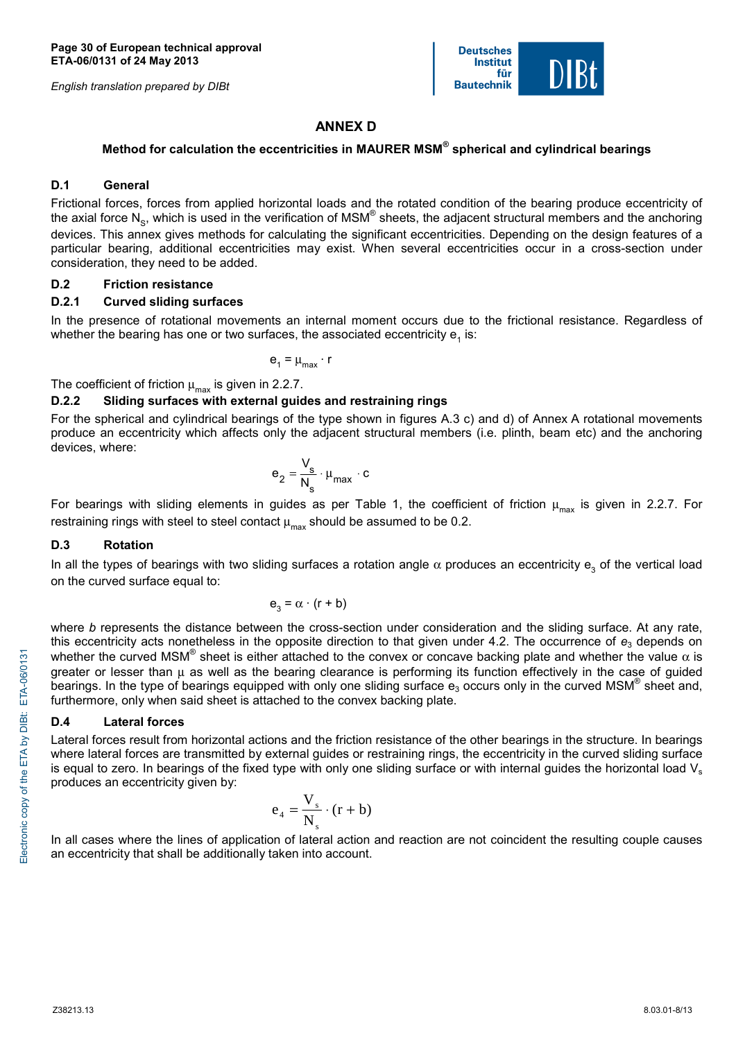

### **ANNEX D**

### **Method for calculation the eccentricities in MAURER MSM® spherical and cylindrical bearings**

#### **D.1 General**

Frictional forces, forces from applied horizontal loads and the rotated condition of the bearing produce eccentricity of the axial force N<sub>s</sub>, which is used in the verification of MSM® sheets, the adjacent structural members and the anchoring devices. This annex gives methods for calculating the significant eccentricities. Depending on the design features of a particular bearing, additional eccentricities may exist. When several eccentricities occur in a cross-section under consideration, they need to be added.

#### **D.2 Friction resistance**

#### **D.2.1 Curved sliding surfaces**

In the presence of rotational movements an internal moment occurs due to the frictional resistance. Regardless of whether the bearing has one or two surfaces, the associated eccentricity  $e_i$  is:

$$
e_1 = \mu_{\text{max}} \cdot r
$$

The coefficient of friction  $\mu_{\text{max}}$  is given in 2.2.7.<br>D.2.2 Sliding surfaces with external quick

### **Sliding surfaces with external guides and restraining rings**

For the spherical and cylindrical bearings of the type shown in figures A.3 c) and d) of Annex A rotational movements produce an eccentricity which affects only the adjacent structural members (i.e. plinth, beam etc) and the anchoring devices, where:

$$
e_2 = \frac{V_s}{N_s} \cdot \mu_{max} \cdot c
$$

For bearings with sliding elements in guides as per Table 1, the coefficient of friction  $\mu_{max}$  is given in 2.2.7. For restraining rings with steel to steel contact  $\mu_{\text{max}}$  should be assumed to be 0.2.

### **D.3 Rotation**

In all the types of bearings with two sliding surfaces a rotation angle  $\alpha$  produces an eccentricity  $e_3$  of the vertical load on the curved surface equal to:

$$
e_3 = \alpha \cdot (r + b)
$$

where *b* represents the distance between the cross-section under consideration and the sliding surface. At any rate, this eccentricity acts nonetheless in the opposite direction to that given under 4.2. The occurrence of  $e_3$  depends on whether the curved MSM® sheet is either attached to the convex or concave backing plate and whether the value  $\alpha$  is greater or lesser than μ as well as the bearing clearance is performing its function effectively in the case of guided bearings. In the type of bearings equipped with only one sliding surface  $e_3$  occurs only in the curved MSM® sheet and, furthermore, only when said sheet is attached to the convex backing plate.

#### **D.4 Lateral forces**

Lateral forces result from horizontal actions and the friction resistance of the other bearings in the structure. In bearings where lateral forces are transmitted by external guides or restraining rings, the eccentricity in the curved sliding surface is equal to zero. In bearings of the fixed type with only one sliding surface or with internal guides the horizontal load  $V_s$ produces an eccentricity given by:

$$
e_4 = \frac{V_s}{N_s} \cdot (r + b)
$$

In all cases where the lines of application of lateral action and reaction are not coincident the resulting couple causes an eccentricity that shall be additionally taken into account.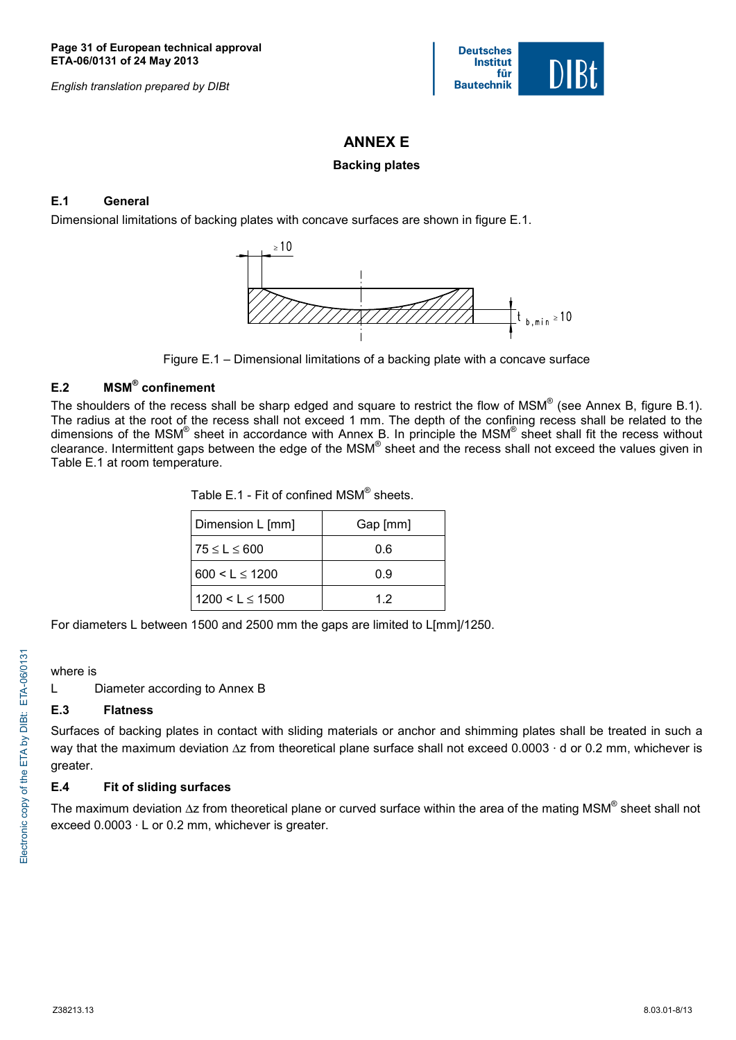

# **ANNEX E**

### **Backing plates**

### **E.1 General**

Dimensional limitations of backing plates with concave surfaces are shown in figure E.1.





### **E.2 MSM® confinement**

The shoulders of the recess shall be sharp edged and square to restrict the flow of MSM<sup>®</sup> (see Annex B, figure B.1). The radius at the root of the recess shall not exceed 1 mm. The depth of the confining recess shall be related to the dimensions of the MSM® sheet in accordance with Annex B. In principle the MSM® sheet shall fit the recess without clearance. Intermittent gaps between the edge of the MSM® sheet and the recess shall not exceed the values given in Table E.1 at room temperature.

| Table E.1 - Fit of confined MSM $^{\circledR}$ sheets. |
|--------------------------------------------------------|
|--------------------------------------------------------|

| Dimension L [mm]   | Gap [mm] |
|--------------------|----------|
| $75 \le L \le 600$ | 0.6      |
| $600 < L \le 1200$ | 0 9      |
| 1200 < L < 1500    | 12       |

For diameters L between 1500 and 2500 mm the gaps are limited to L[mm]/1250.

### where is

L Diameter according to Annex B

### **E.3 Flatness**

Surfaces of backing plates in contact with sliding materials or anchor and shimming plates shall be treated in such a way that the maximum deviation Δz from theoretical plane surface shall not exceed 0.0003 · d or 0.2 mm, whichever is greater.

### **E.4 Fit of sliding surfaces**

The maximum deviation  $\Delta z$  from theoretical plane or curved surface within the area of the mating MSM® sheet shall not exceed 0.0003 · L or 0.2 mm, whichever is greater.